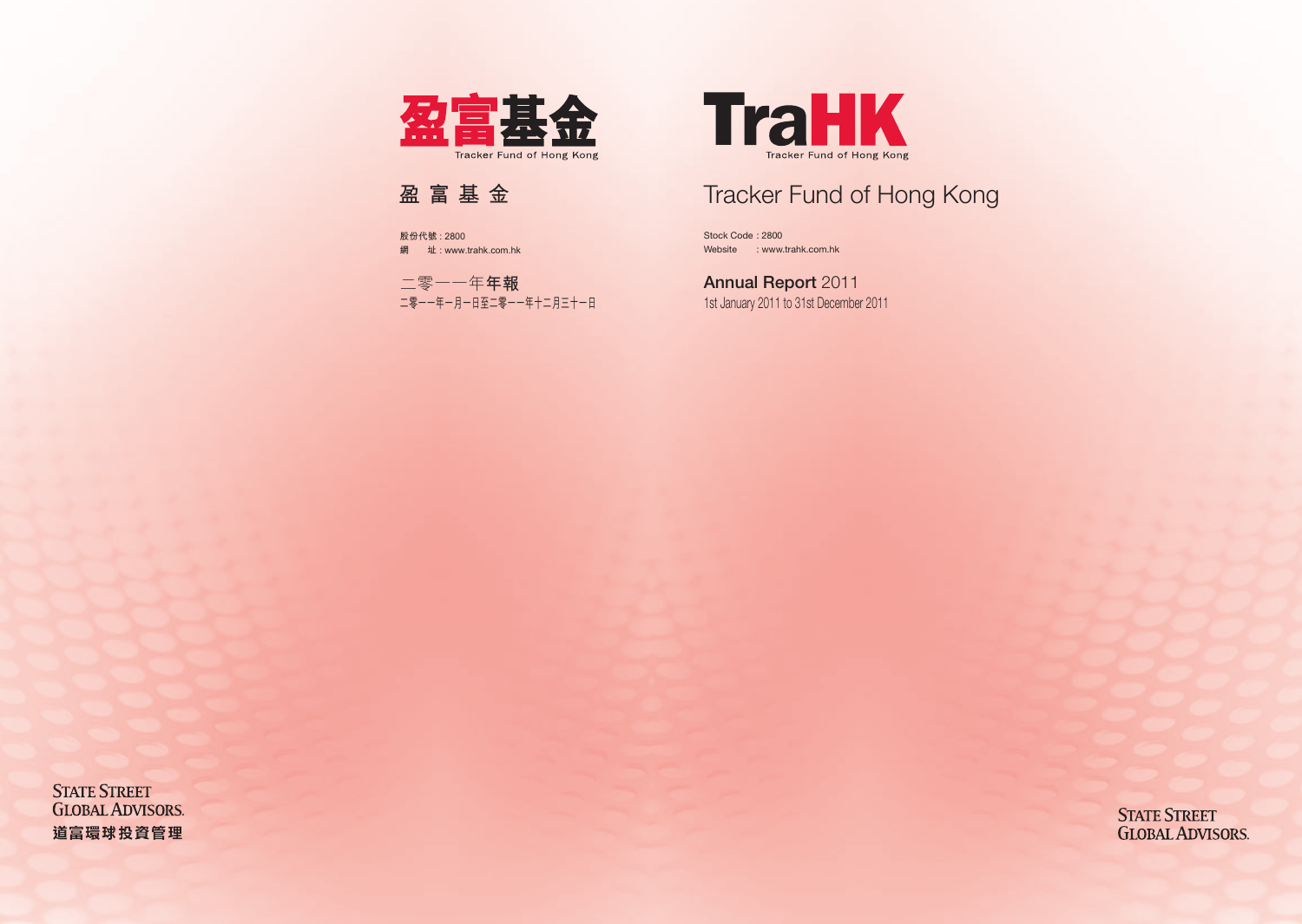

# Tracker Fund of Hong Kong

Stock Code : 2800 Website : www.trahk.com.hk

1st January 2011 to 31st December 2011 **Annual Report 2011** 

> **STATE STREET GLOBAL ADVISORS.**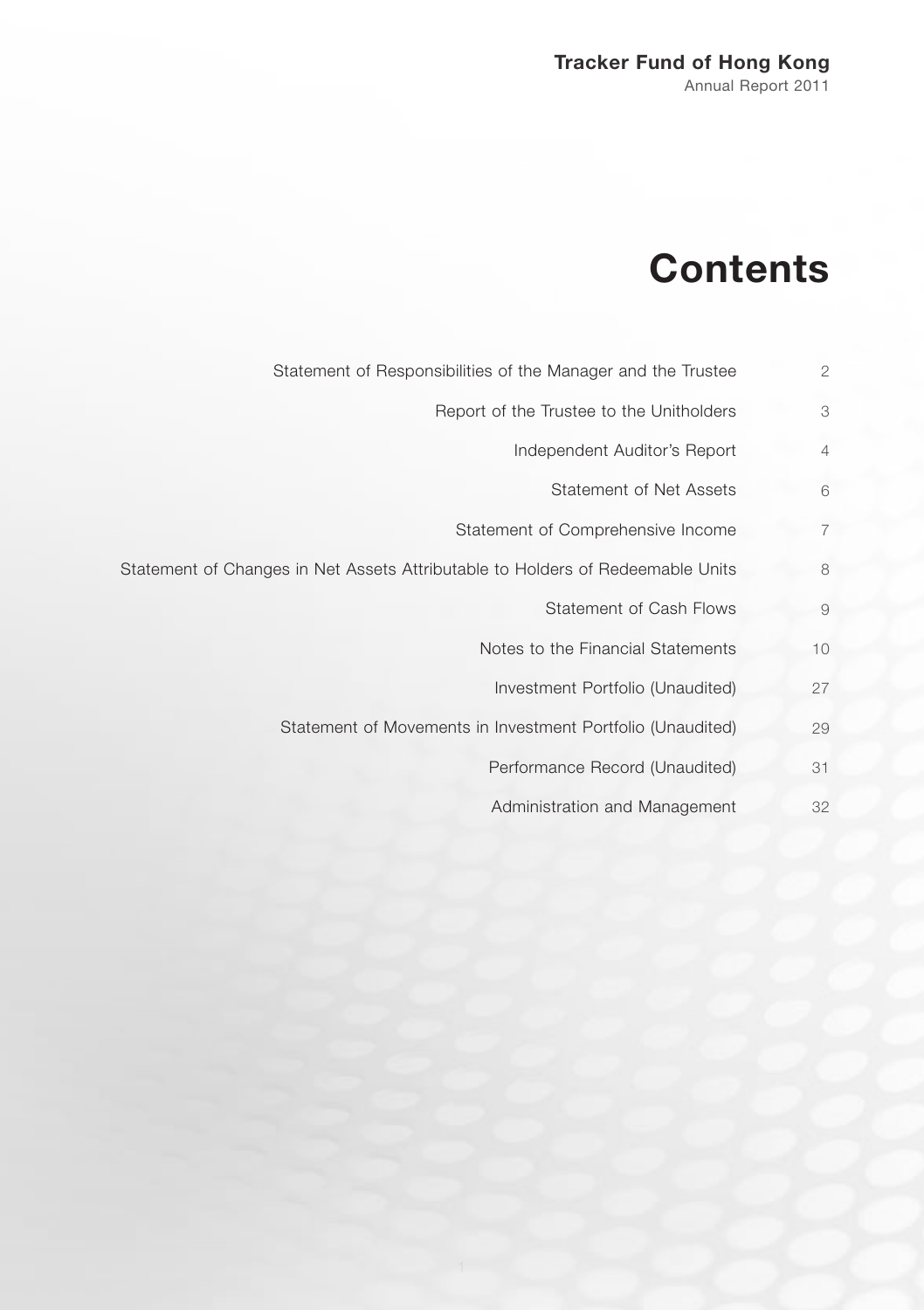# **Contents**

- Statement of Responsibilities of the Manager and the Trustee 2
	- Report of the Trustee to the Unitholders 3
		- Independent Auditor's Report 4
			- Statement of Net Assets 6
		- Statement of Comprehensive Income
- Statement of Changes in Net Assets Attributable to Holders of Redeemable Units 8
	- Statement of Cash Flows 9
	- Notes to the Financial Statements 10
		- Investment Portfolio (Unaudited) 27
	- Statement of Movements in Investment Portfolio (Unaudited) 29
		- Performance Record (Unaudited) 31
		- Administration and Management 32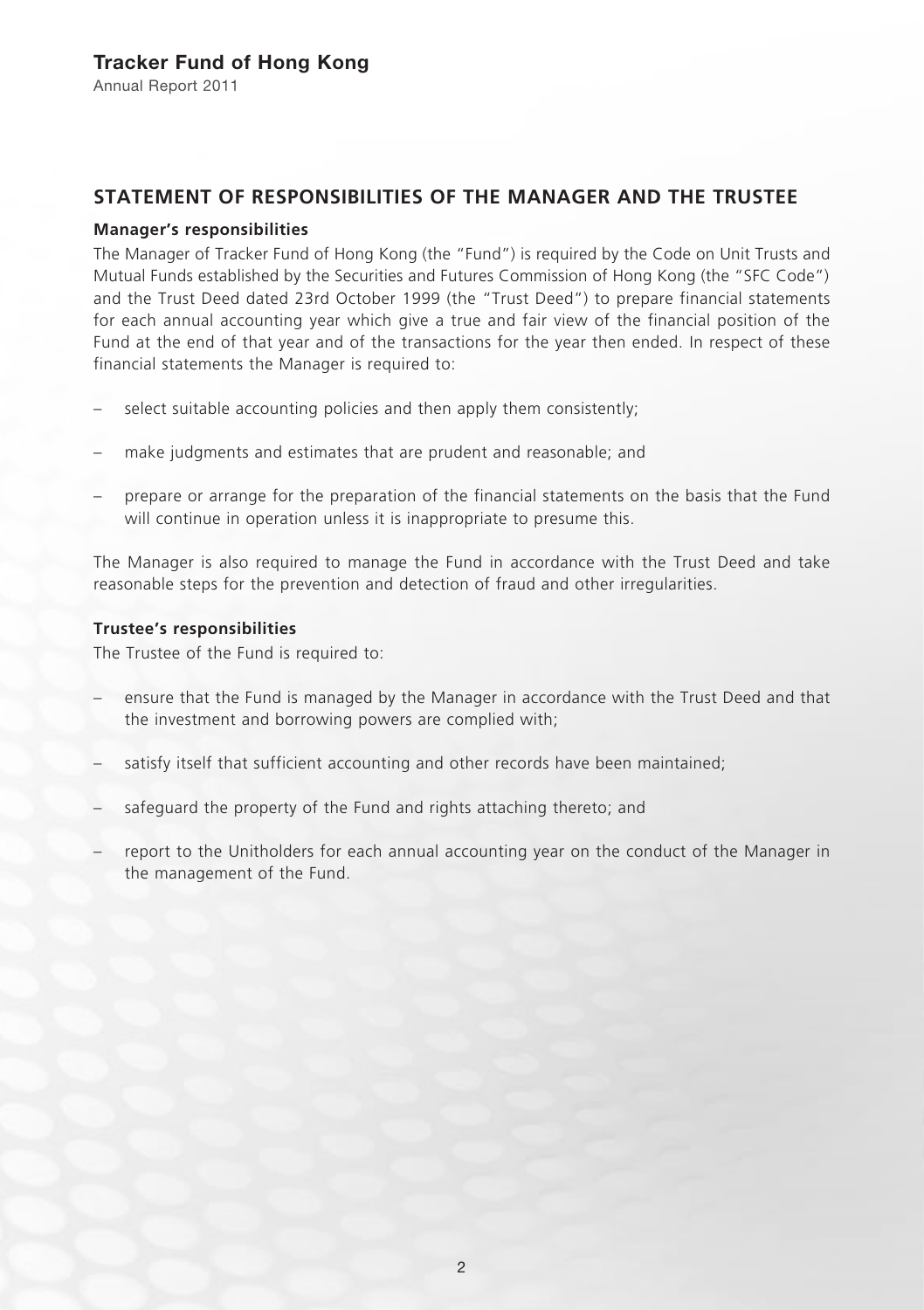## **STATEMENT OF RESPONSIBILITIES OF THE MANAGER AND THE TRUSTEE**

## **Manager's responsibilities**

The Manager of Tracker Fund of Hong Kong (the "Fund") is required by the Code on Unit Trusts and Mutual Funds established by the Securities and Futures Commission of Hong Kong (the "SFC Code") and the Trust Deed dated 23rd October 1999 (the "Trust Deed") to prepare financial statements for each annual accounting year which give a true and fair view of the financial position of the Fund at the end of that year and of the transactions for the year then ended. In respect of these financial statements the Manager is required to:

- select suitable accounting policies and then apply them consistently;
- make judgments and estimates that are prudent and reasonable; and
- prepare or arrange for the preparation of the financial statements on the basis that the Fund will continue in operation unless it is inappropriate to presume this.

The Manager is also required to manage the Fund in accordance with the Trust Deed and take reasonable steps for the prevention and detection of fraud and other irregularities.

#### **Trustee's responsibilities**

The Trustee of the Fund is required to:

- ensure that the Fund is managed by the Manager in accordance with the Trust Deed and that the investment and borrowing powers are complied with;
- satisfy itself that sufficient accounting and other records have been maintained;
- safeguard the property of the Fund and rights attaching thereto; and
- report to the Unitholders for each annual accounting year on the conduct of the Manager in the management of the Fund.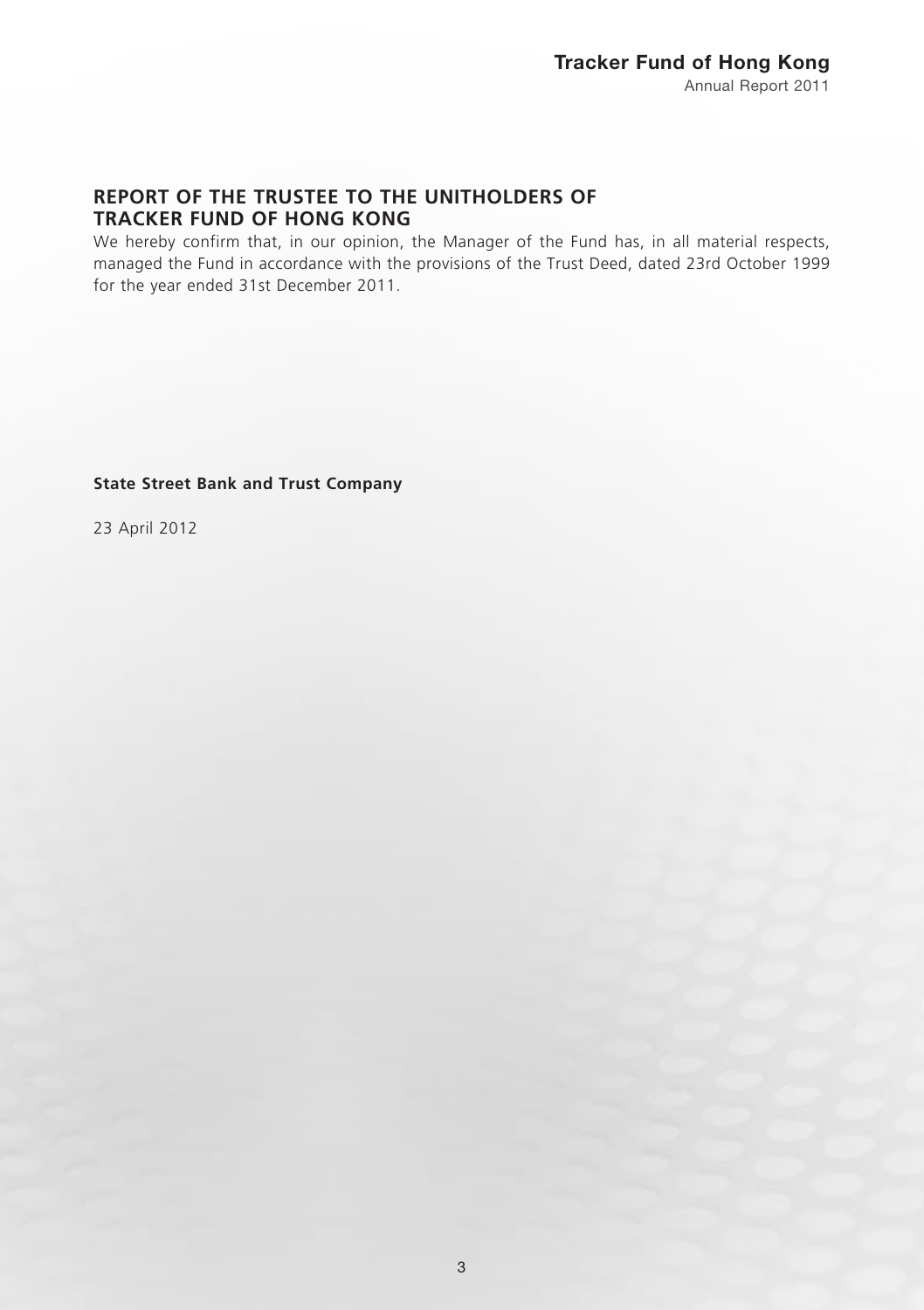## **REPORT OF THE TRUSTEE TO THE UNITHOLDERS OF TRACKER FUND OF HONG KONG**

We hereby confirm that, in our opinion, the Manager of the Fund has, in all material respects, managed the Fund in accordance with the provisions of the Trust Deed, dated 23rd October 1999 for the year ended 31st December 2011.

## **State Street Bank and Trust Company**

23 April 2012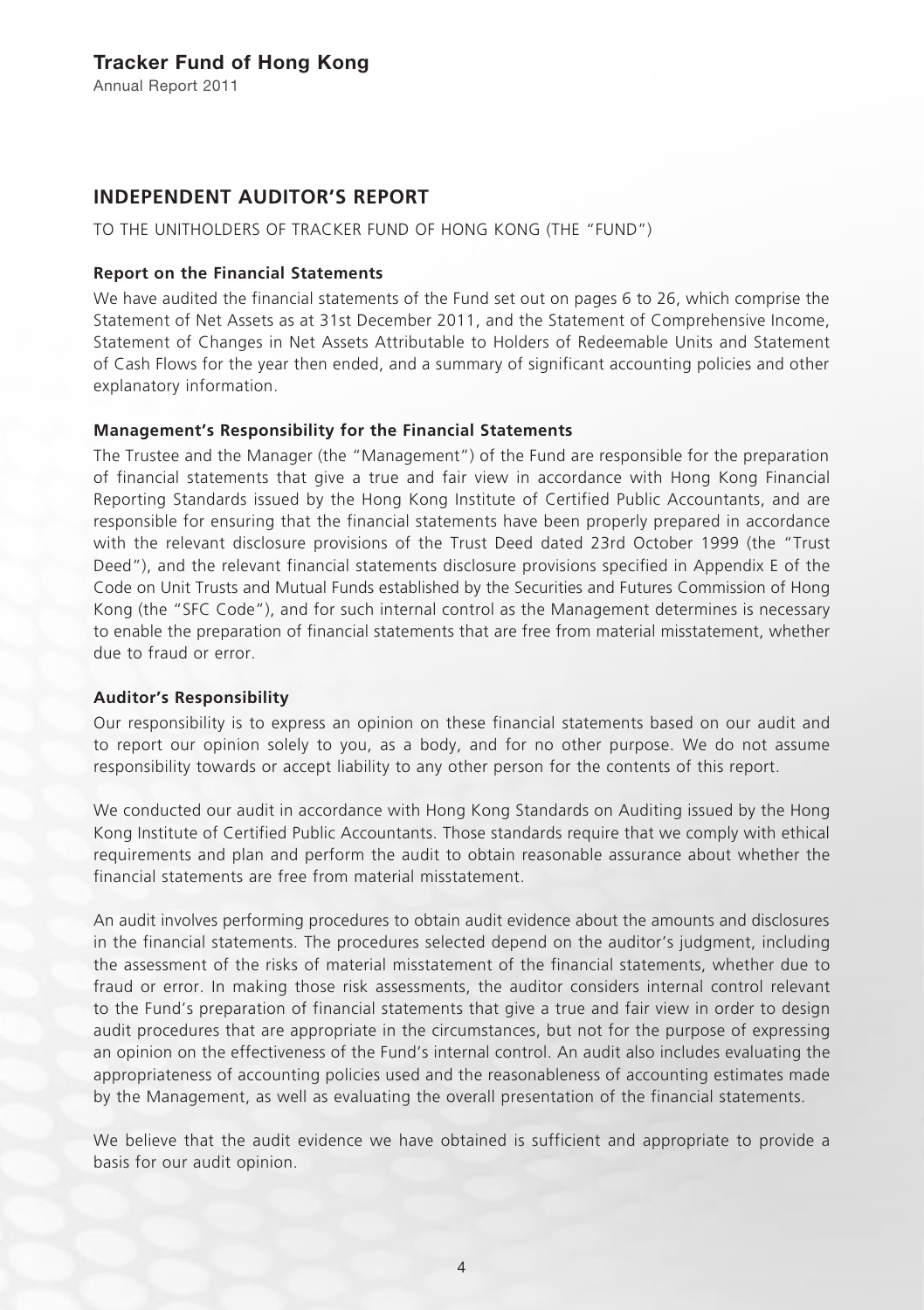## **INDEPENDENT AUDITOR'S REPORT**

TO THE UNITHOLDERS OF TRACKER FUND OF HONG KONG (THE "FUND")

### **Report on the Financial Statements**

We have audited the financial statements of the Fund set out on pages 6 to 26, which comprise the Statement of Net Assets as at 31st December 2011, and the Statement of Comprehensive Income, Statement of Changes in Net Assets Attributable to Holders of Redeemable Units and Statement of Cash Flows for the year then ended, and a summary of significant accounting policies and other explanatory information.

### **Management's Responsibility for the Financial Statements**

The Trustee and the Manager (the "Management") of the Fund are responsible for the preparation of financial statements that give a true and fair view in accordance with Hong Kong Financial Reporting Standards issued by the Hong Kong Institute of Certified Public Accountants, and are responsible for ensuring that the financial statements have been properly prepared in accordance with the relevant disclosure provisions of the Trust Deed dated 23rd October 1999 (the "Trust Deed"), and the relevant financial statements disclosure provisions specified in Appendix E of the Code on Unit Trusts and Mutual Funds established by the Securities and Futures Commission of Hong Kong (the "SFC Code"), and for such internal control as the Management determines is necessary to enable the preparation of financial statements that are free from material misstatement, whether due to fraud or error.

#### **Auditor's Responsibility**

Our responsibility is to express an opinion on these financial statements based on our audit and to report our opinion solely to you, as a body, and for no other purpose. We do not assume responsibility towards or accept liability to any other person for the contents of this report.

We conducted our audit in accordance with Hong Kong Standards on Auditing issued by the Hong Kong Institute of Certified Public Accountants. Those standards require that we comply with ethical requirements and plan and perform the audit to obtain reasonable assurance about whether the financial statements are free from material misstatement.

An audit involves performing procedures to obtain audit evidence about the amounts and disclosures in the financial statements. The procedures selected depend on the auditor's judgment, including the assessment of the risks of material misstatement of the financial statements, whether due to fraud or error. In making those risk assessments, the auditor considers internal control relevant to the Fund's preparation of financial statements that give a true and fair view in order to design audit procedures that are appropriate in the circumstances, but not for the purpose of expressing an opinion on the effectiveness of the Fund's internal control. An audit also includes evaluating the appropriateness of accounting policies used and the reasonableness of accounting estimates made by the Management, as well as evaluating the overall presentation of the financial statements.

We believe that the audit evidence we have obtained is sufficient and appropriate to provide a basis for our audit opinion.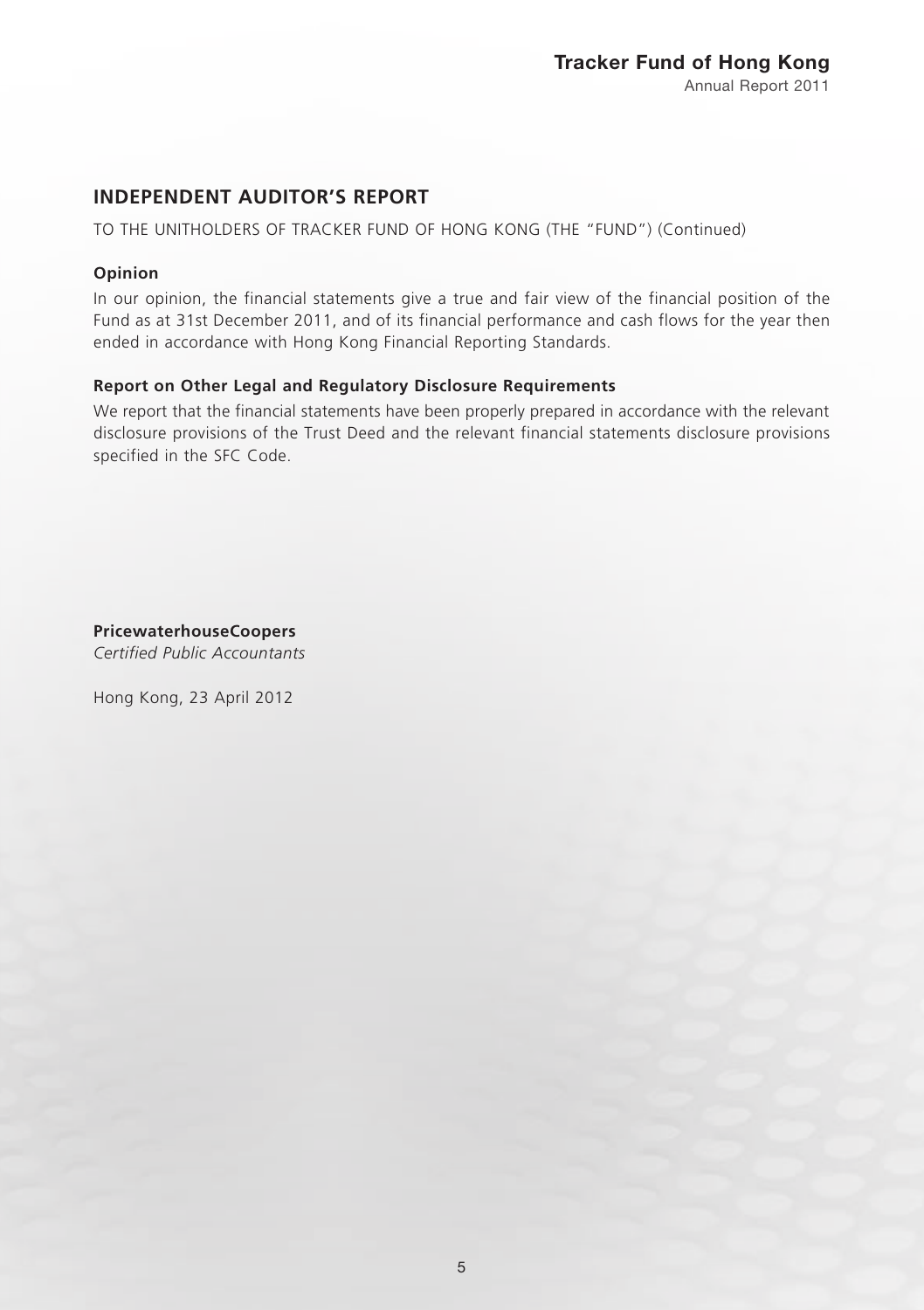## **INDEPENDENT AUDITOR'S REPORT**

TO THE UNITHOLDERS OF TRACKER FUND OF HONG KONG (THE "FUND") (Continued)

## **Opinion**

In our opinion, the financial statements give a true and fair view of the financial position of the Fund as at 31st December 2011, and of its financial performance and cash flows for the year then ended in accordance with Hong Kong Financial Reporting Standards.

## **Report on Other Legal and Regulatory Disclosure Requirements**

We report that the financial statements have been properly prepared in accordance with the relevant disclosure provisions of the Trust Deed and the relevant financial statements disclosure provisions specified in the SFC Code.

**PricewaterhouseCoopers** *Certified Public Accountants*

Hong Kong, 23 April 2012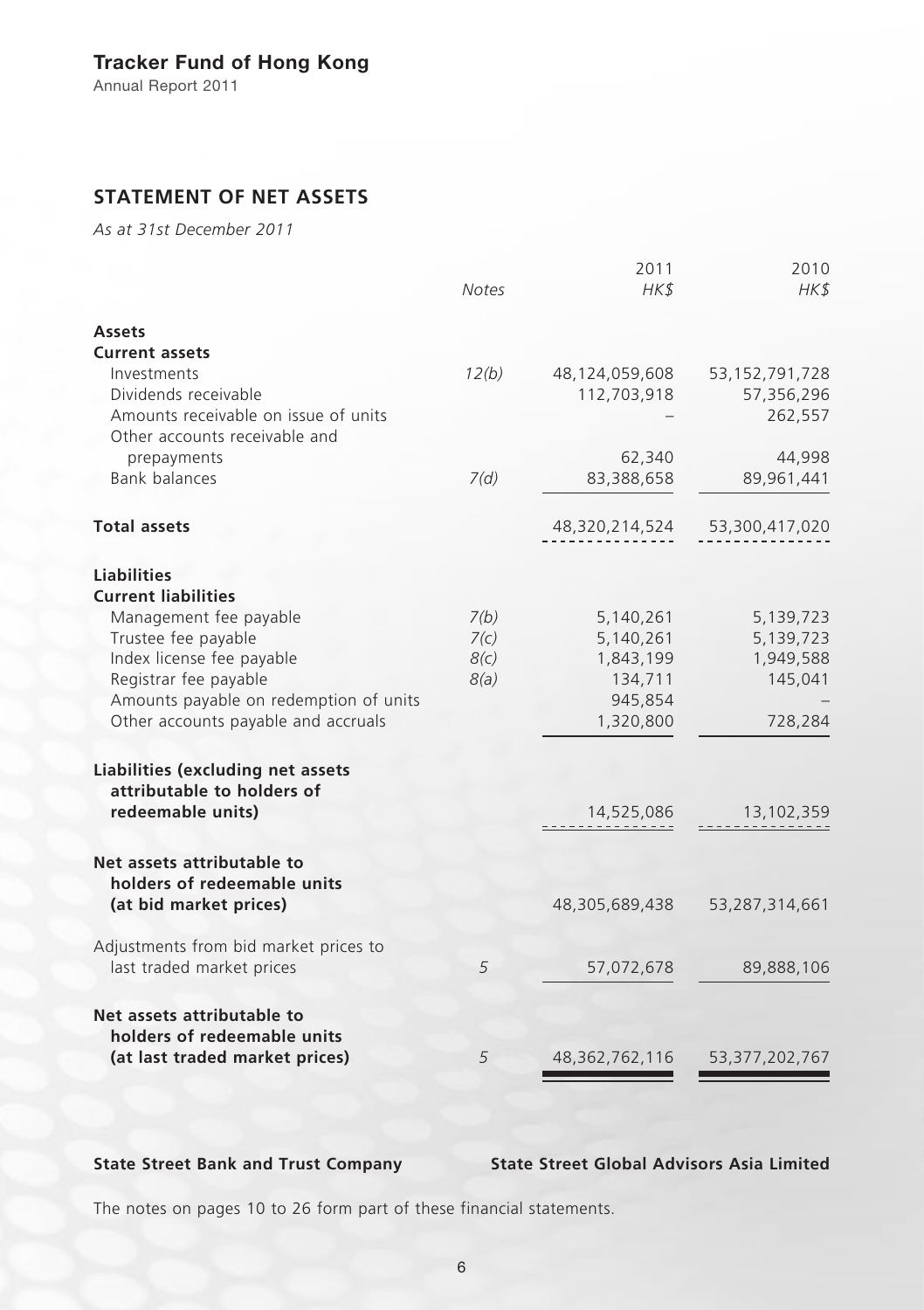## Tracker Fund of Hong Kong

Annual Report 2011

## **STATEMENT OF NET ASSETS**

*As at 31st December 2011*

|                                        | <b>Notes</b> | 2011<br>HK\$   | 2010<br>HK\$      |
|----------------------------------------|--------------|----------------|-------------------|
|                                        |              |                |                   |
| <b>Assets</b><br><b>Current assets</b> |              |                |                   |
| Investments                            | 12(b)        | 48,124,059,608 | 53, 152, 791, 728 |
| Dividends receivable                   |              | 112,703,918    | 57,356,296        |
| Amounts receivable on issue of units   |              |                | 262,557           |
| Other accounts receivable and          |              |                |                   |
| prepayments                            |              | 62,340         | 44,998            |
| Bank balances                          | 7(d)         | 83,388,658     | 89,961,441        |
| <b>Total assets</b>                    |              | 48,320,214,524 | 53,300,417,020    |
|                                        |              |                |                   |
| <b>Liabilities</b>                     |              |                |                   |
| <b>Current liabilities</b>             |              |                |                   |
| Management fee payable                 | 7(b)         | 5,140,261      | 5,139,723         |
| Trustee fee payable                    | 7(c)         | 5,140,261      | 5,139,723         |
| Index license fee payable              | 8(c)         | 1,843,199      | 1,949,588         |
| Registrar fee payable                  | 8(a)         | 134,711        | 145,041           |
| Amounts payable on redemption of units |              | 945,854        |                   |
| Other accounts payable and accruals    |              | 1,320,800      | 728,284           |
| Liabilities (excluding net assets      |              |                |                   |
| attributable to holders of             |              |                |                   |
| redeemable units)                      |              | 14,525,086     | 13,102,359        |
| Net assets attributable to             |              |                |                   |
| holders of redeemable units            |              |                |                   |
| (at bid market prices)                 |              | 48,305,689,438 | 53,287,314,661    |
| Adjustments from bid market prices to  |              |                |                   |
| last traded market prices              | 5            | 57,072,678     | 89,888,106        |
| Net assets attributable to             |              |                |                   |
| holders of redeemable units            |              |                |                   |
| (at last traded market prices)         | 5            | 48,362,762,116 | 53,377,202,767    |

**State Street Bank and Trust Company State Street Global Advisors Asia Limited**

The notes on pages 10 to 26 form part of these financial statements.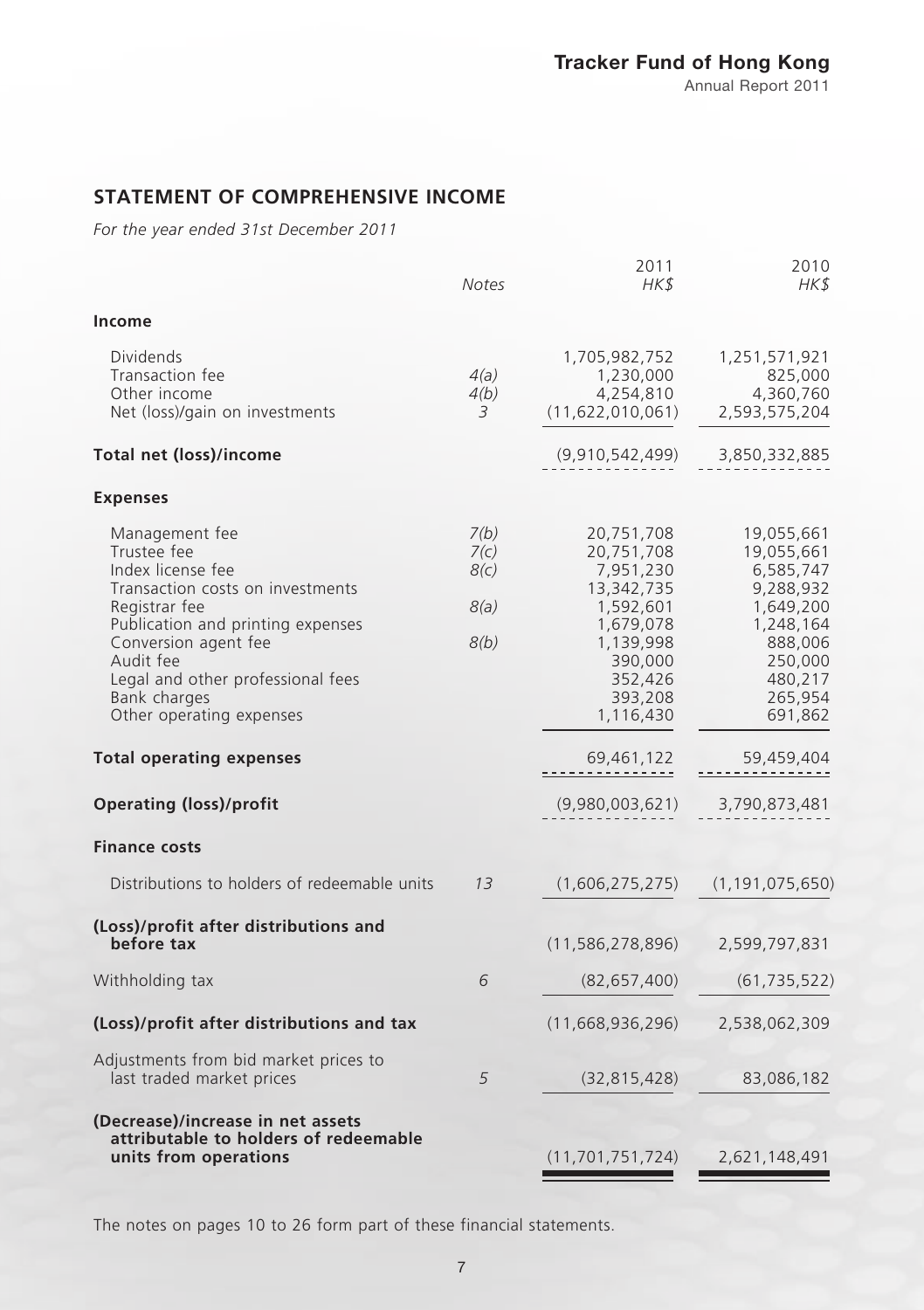## **STATEMENT OF COMPREHENSIVE INCOME**

*For the year ended 31st December 2011*

|                                                                                                                                                                                                                                                                    | <b>Notes</b>                         | 2011<br>HK\$                                                                                                                             | 2010<br>HK\$                                                                                                                        |
|--------------------------------------------------------------------------------------------------------------------------------------------------------------------------------------------------------------------------------------------------------------------|--------------------------------------|------------------------------------------------------------------------------------------------------------------------------------------|-------------------------------------------------------------------------------------------------------------------------------------|
| Income                                                                                                                                                                                                                                                             |                                      |                                                                                                                                          |                                                                                                                                     |
| <b>Dividends</b><br>Transaction fee<br>Other income<br>Net (loss)/gain on investments                                                                                                                                                                              | 4(a)<br>4(b)<br>3                    | 1,705,982,752<br>1,230,000<br>4,254,810<br>(11, 622, 010, 061)                                                                           | 1,251,571,921<br>825,000<br>4,360,760<br>2,593,575,204                                                                              |
| Total net (loss)/income                                                                                                                                                                                                                                            |                                      | (9,910,542,499)                                                                                                                          | 3,850,332,885                                                                                                                       |
| <b>Expenses</b>                                                                                                                                                                                                                                                    |                                      |                                                                                                                                          |                                                                                                                                     |
| Management fee<br>Trustee fee<br>Index license fee<br>Transaction costs on investments<br>Registrar fee<br>Publication and printing expenses<br>Conversion agent fee<br>Audit fee<br>Legal and other professional fees<br>Bank charges<br>Other operating expenses | 7(b)<br>7(c)<br>8(c)<br>8(a)<br>8(b) | 20,751,708<br>20,751,708<br>7,951,230<br>13,342,735<br>1,592,601<br>1,679,078<br>1,139,998<br>390,000<br>352,426<br>393,208<br>1,116,430 | 19,055,661<br>19,055,661<br>6,585,747<br>9,288,932<br>1,649,200<br>1,248,164<br>888,006<br>250,000<br>480,217<br>265,954<br>691,862 |
| <b>Total operating expenses</b>                                                                                                                                                                                                                                    |                                      | 69,461,122<br>------------                                                                                                               | 59,459,404                                                                                                                          |
| <b>Operating (loss)/profit</b>                                                                                                                                                                                                                                     |                                      | (9,980,003,621)                                                                                                                          | 3,790,873,481                                                                                                                       |
| <b>Finance costs</b>                                                                                                                                                                                                                                               |                                      |                                                                                                                                          |                                                                                                                                     |
| Distributions to holders of redeemable units                                                                                                                                                                                                                       | 13                                   | (1,606,275,275)                                                                                                                          | (1, 191, 075, 650)                                                                                                                  |
| (Loss)/profit after distributions and<br>before tax                                                                                                                                                                                                                |                                      | (11, 586, 278, 896)                                                                                                                      | 2,599,797,831                                                                                                                       |
| Withholding tax                                                                                                                                                                                                                                                    | 6                                    | (82, 657, 400)                                                                                                                           | (61, 735, 522)                                                                                                                      |
| (Loss)/profit after distributions and tax                                                                                                                                                                                                                          |                                      | (11,668,936,296)                                                                                                                         | 2,538,062,309                                                                                                                       |
| Adjustments from bid market prices to<br>last traded market prices                                                                                                                                                                                                 | 5                                    | (32, 815, 428)                                                                                                                           | 83,086,182                                                                                                                          |
| (Decrease)/increase in net assets<br>attributable to holders of redeemable<br>units from operations                                                                                                                                                                |                                      | (11, 701, 751, 724)                                                                                                                      | 2,621,148,491                                                                                                                       |

The notes on pages 10 to 26 form part of these financial statements.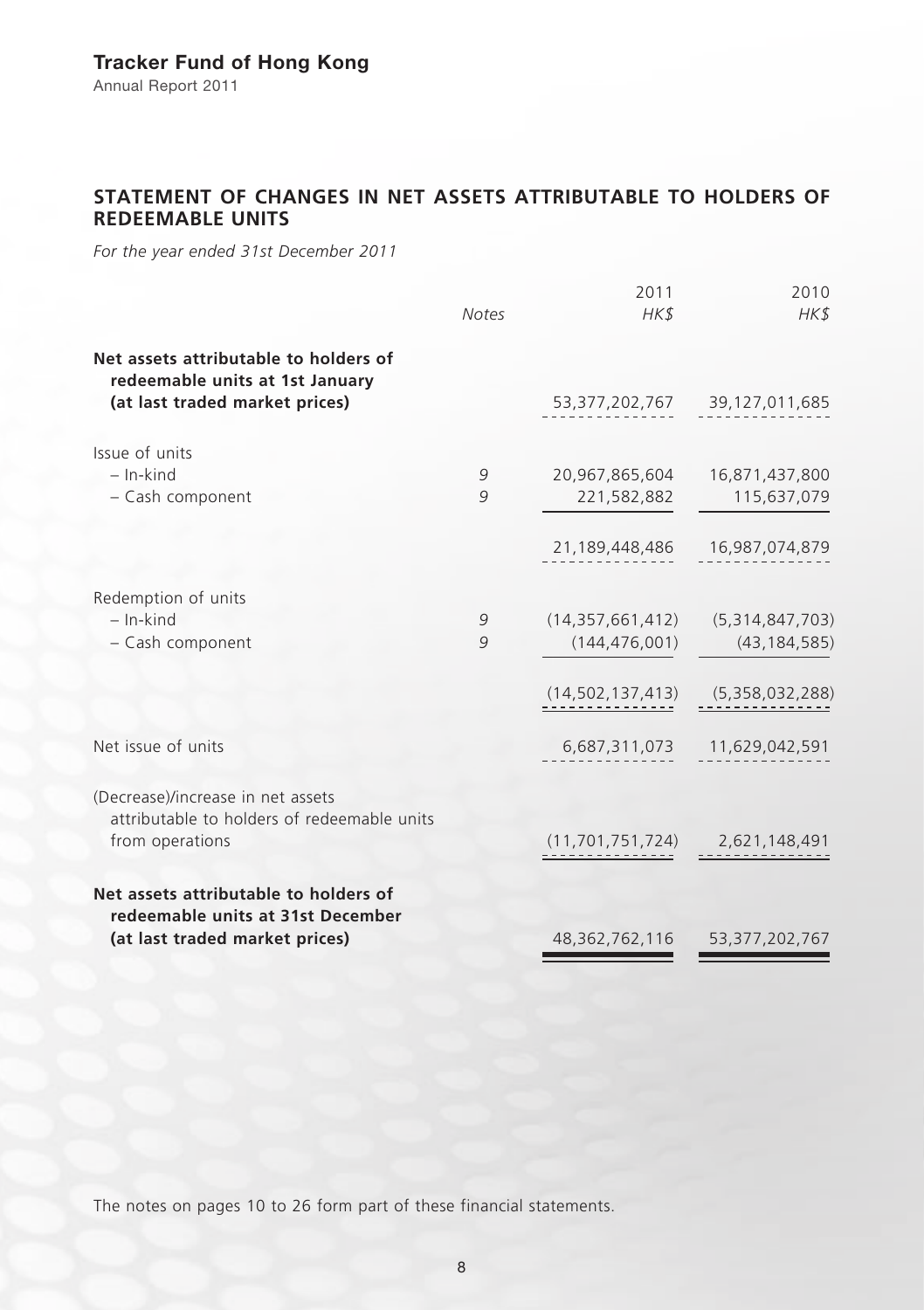## **STATEMENT OF CHANGES IN NET ASSETS ATTRIBUTABLE TO HOLDERS OF REDEEMABLE UNITS**

*For the year ended 31st December 2011*

|                                                                                  |              | 2011             | 2010                          |
|----------------------------------------------------------------------------------|--------------|------------------|-------------------------------|
|                                                                                  | <b>Notes</b> | HK\$             | HK\$                          |
| Net assets attributable to holders of<br>redeemable units at 1st January         |              |                  |                               |
| (at last traded market prices)                                                   |              |                  | 53,377,202,767 39,127,011,685 |
| Issue of units                                                                   |              |                  |                               |
| $-$ In-kind                                                                      | 9            | 20,967,865,604   | 16,871,437,800                |
| - Cash component                                                                 | 9            | 221,582,882      | 115,637,079                   |
|                                                                                  |              | 21,189,448,486   | 16,987,074,879                |
| Redemption of units                                                              |              |                  |                               |
| $-$ In-kind                                                                      | 9            | (14,357,661,412) | (5,314,847,703)               |
| - Cash component                                                                 | 9            | (144, 476, 001)  | (43, 184, 585)                |
|                                                                                  |              | (14,502,137,413) | (5,358,032,288)               |
| Net issue of units                                                               |              |                  | 6,687,311,073 11,629,042,591  |
| (Decrease)/increase in net assets<br>attributable to holders of redeemable units |              |                  |                               |
| from operations                                                                  |              | (11,701,751,724) | 2,621,148,491                 |
| Net assets attributable to holders of<br>redeemable units at 31st December       |              |                  |                               |
| (at last traded market prices)                                                   |              | 48,362,762,116   | 53,377,202,767                |
|                                                                                  |              |                  |                               |

The notes on pages 10 to 26 form part of these financial statements.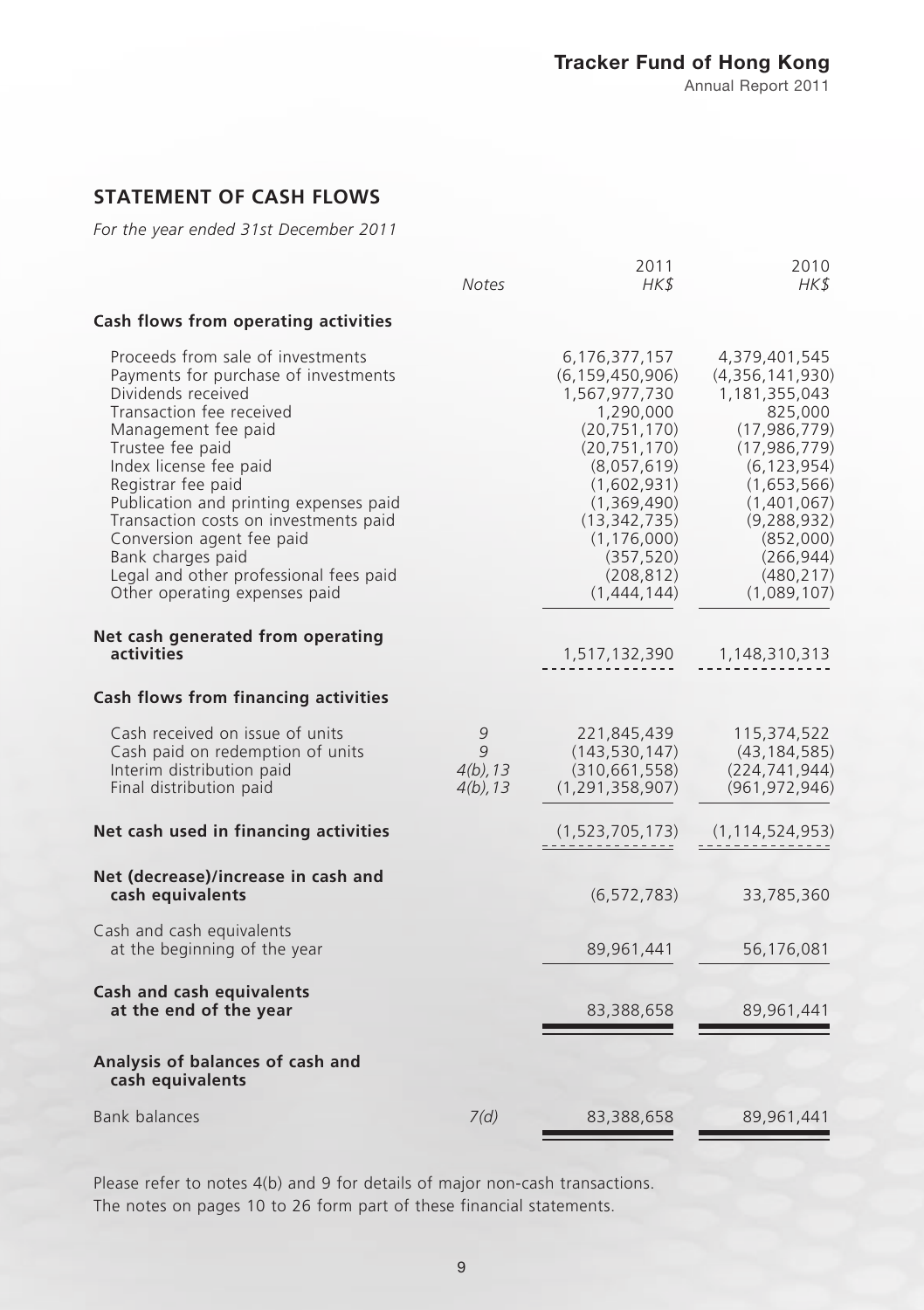## **STATEMENT OF CASH FLOWS**

*For the year ended 31st December 2011*

| <b>Notes</b>                         | 2011<br>HK\$                                                                                                                                                                                                                        | 2010<br>HK\$                                                                                                                                                                                                             |
|--------------------------------------|-------------------------------------------------------------------------------------------------------------------------------------------------------------------------------------------------------------------------------------|--------------------------------------------------------------------------------------------------------------------------------------------------------------------------------------------------------------------------|
|                                      |                                                                                                                                                                                                                                     |                                                                                                                                                                                                                          |
|                                      | 6, 176, 377, 157<br>(6, 159, 450, 906)<br>1,567,977,730<br>1,290,000<br>(20, 751, 170)<br>(20, 751, 170)<br>(8,057,619)<br>(1,602,931)<br>(1,369,490)<br>(13, 342, 735)<br>(1, 176, 000)<br>(357, 520)<br>(208, 812)<br>(1,444,144) | 4,379,401,545<br>(4,356,141,930)<br>1,181,355,043<br>825,000<br>(17, 986, 779)<br>(17, 986, 779)<br>(6, 123, 954)<br>(1,653,566)<br>(1,401,067)<br>(9, 288, 932)<br>(852,000)<br>(266, 944)<br>(480, 217)<br>(1,089,107) |
|                                      | 1,517,132,390                                                                                                                                                                                                                       | 1,148,310,313                                                                                                                                                                                                            |
|                                      |                                                                                                                                                                                                                                     |                                                                                                                                                                                                                          |
| 9<br>9<br>$4(b)$ , 13<br>$4(b)$ , 13 | 221,845,439<br>(143, 530, 147)<br>(310, 661, 558)<br>(1, 291, 358, 907)                                                                                                                                                             | 115,374,522<br>(43, 184, 585)<br>(224, 741, 944)<br>(961, 972, 946)                                                                                                                                                      |
|                                      | (1,523,705,173)                                                                                                                                                                                                                     | (1, 114, 524, 953)                                                                                                                                                                                                       |
|                                      | (6, 572, 783)                                                                                                                                                                                                                       | 33,785,360                                                                                                                                                                                                               |
|                                      | 89,961,441                                                                                                                                                                                                                          | 56,176,081                                                                                                                                                                                                               |
|                                      | 83,388,658                                                                                                                                                                                                                          | 89,961,441                                                                                                                                                                                                               |
|                                      |                                                                                                                                                                                                                                     |                                                                                                                                                                                                                          |
| 7(d)                                 | 83,388,658                                                                                                                                                                                                                          | 89,961,441                                                                                                                                                                                                               |
|                                      |                                                                                                                                                                                                                                     |                                                                                                                                                                                                                          |

Please refer to notes 4(b) and 9 for details of major non-cash transactions. The notes on pages 10 to 26 form part of these financial statements.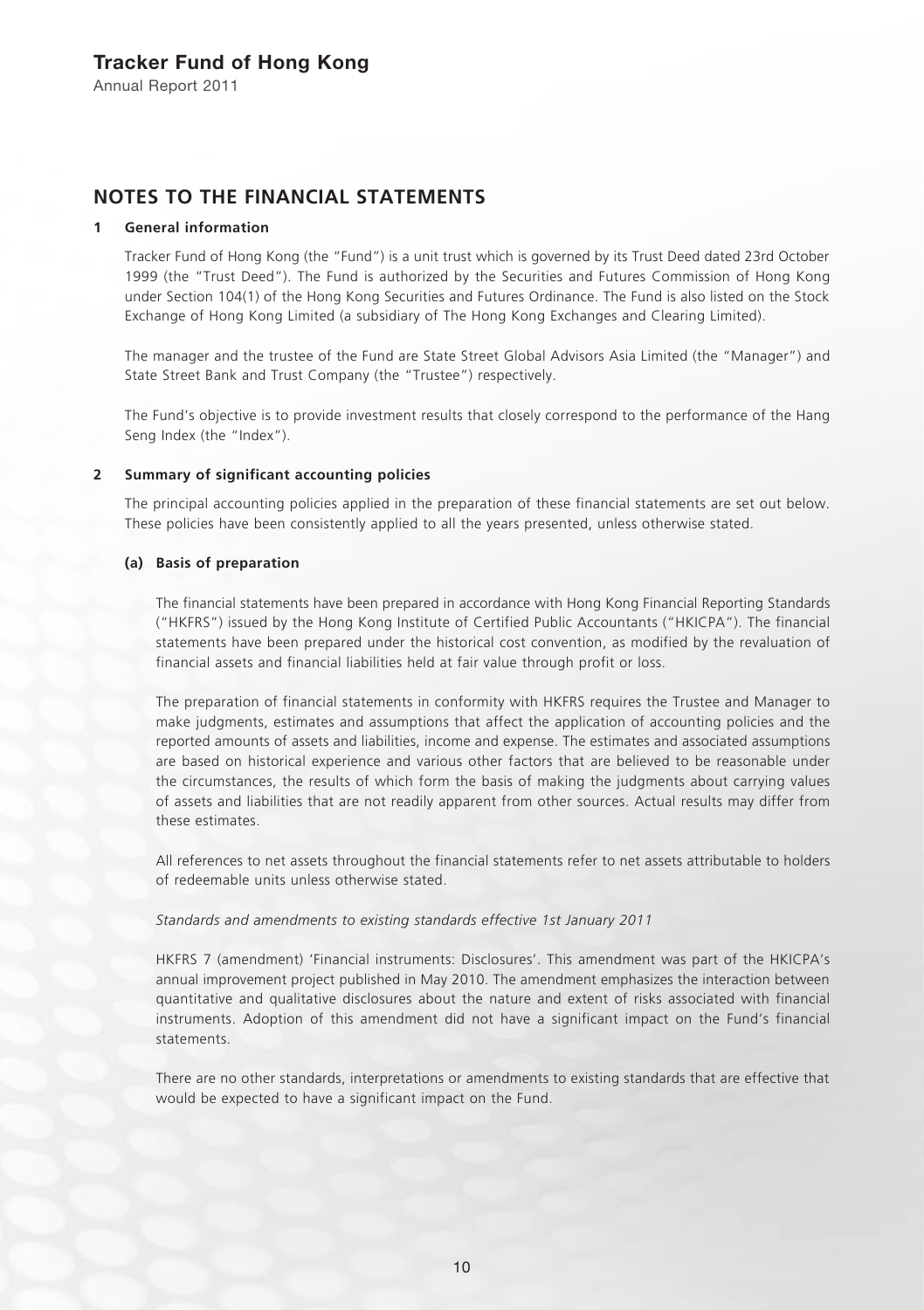## **NOTES TO THE FINANCIAL STATEMENTS**

#### **1 General information**

Tracker Fund of Hong Kong (the "Fund") is a unit trust which is governed by its Trust Deed dated 23rd October 1999 (the "Trust Deed"). The Fund is authorized by the Securities and Futures Commission of Hong Kong under Section 104(1) of the Hong Kong Securities and Futures Ordinance. The Fund is also listed on the Stock Exchange of Hong Kong Limited (a subsidiary of The Hong Kong Exchanges and Clearing Limited).

The manager and the trustee of the Fund are State Street Global Advisors Asia Limited (the "Manager") and State Street Bank and Trust Company (the "Trustee") respectively.

The Fund's objective is to provide investment results that closely correspond to the performance of the Hang Seng Index (the "Index").

#### **2 Summary of significant accounting policies**

The principal accounting policies applied in the preparation of these financial statements are set out below. These policies have been consistently applied to all the years presented, unless otherwise stated.

#### **(a) Basis of preparation**

The financial statements have been prepared in accordance with Hong Kong Financial Reporting Standards ("HKFRS") issued by the Hong Kong Institute of Certified Public Accountants ("HKICPA"). The financial statements have been prepared under the historical cost convention, as modified by the revaluation of financial assets and financial liabilities held at fair value through profit or loss.

The preparation of financial statements in conformity with HKFRS requires the Trustee and Manager to make judgments, estimates and assumptions that affect the application of accounting policies and the reported amounts of assets and liabilities, income and expense. The estimates and associated assumptions are based on historical experience and various other factors that are believed to be reasonable under the circumstances, the results of which form the basis of making the judgments about carrying values of assets and liabilities that are not readily apparent from other sources. Actual results may differ from these estimates.

All references to net assets throughout the financial statements refer to net assets attributable to holders of redeemable units unless otherwise stated.

#### *Standards and amendments to existing standards effective 1st January 2011*

HKFRS 7 (amendment) 'Financial instruments: Disclosures'. This amendment was part of the HKICPA's annual improvement project published in May 2010. The amendment emphasizes the interaction between quantitative and qualitative disclosures about the nature and extent of risks associated with financial instruments. Adoption of this amendment did not have a significant impact on the Fund's financial statements.

There are no other standards, interpretations or amendments to existing standards that are effective that would be expected to have a significant impact on the Fund.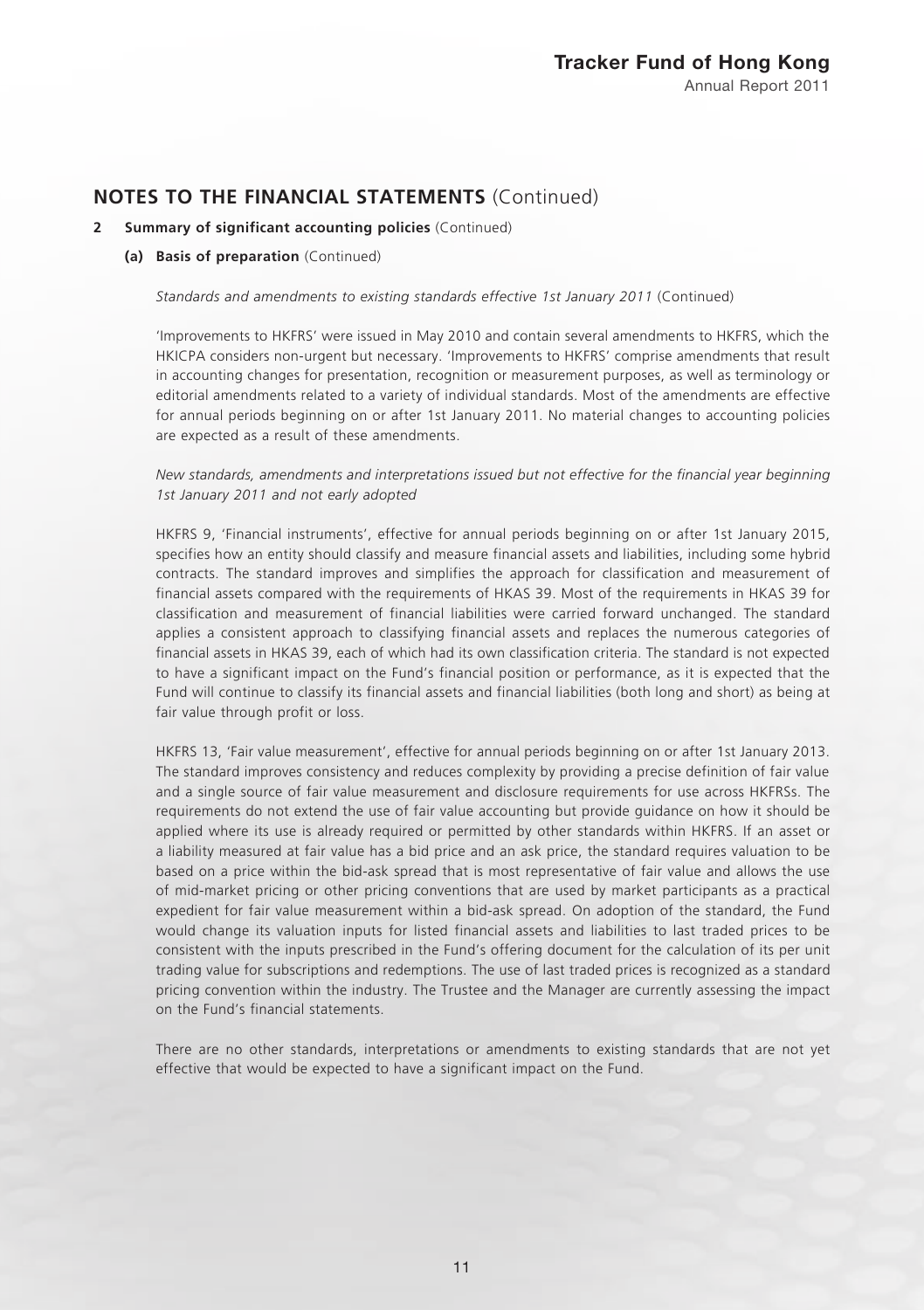#### **2 Summary of significant accounting policies** (Continued)

#### **(a) Basis of preparation** (Continued)

*Standards and amendments to existing standards effective 1st January 2011* (Continued)

'Improvements to HKFRS' were issued in May 2010 and contain several amendments to HKFRS, which the HKICPA considers non-urgent but necessary. 'Improvements to HKFRS' comprise amendments that result in accounting changes for presentation, recognition or measurement purposes, as well as terminology or editorial amendments related to a variety of individual standards. Most of the amendments are effective for annual periods beginning on or after 1st January 2011. No material changes to accounting policies are expected as a result of these amendments.

#### *New standards, amendments and interpretations issued but not effective for the financial year beginning 1st January 2011 and not early adopted*

HKFRS 9, 'Financial instruments', effective for annual periods beginning on or after 1st January 2015, specifies how an entity should classify and measure financial assets and liabilities, including some hybrid contracts. The standard improves and simplifies the approach for classification and measurement of financial assets compared with the requirements of HKAS 39. Most of the requirements in HKAS 39 for classification and measurement of financial liabilities were carried forward unchanged. The standard applies a consistent approach to classifying financial assets and replaces the numerous categories of financial assets in HKAS 39, each of which had its own classification criteria. The standard is not expected to have a significant impact on the Fund's financial position or performance, as it is expected that the Fund will continue to classify its financial assets and financial liabilities (both long and short) as being at fair value through profit or loss.

HKFRS 13, 'Fair value measurement', effective for annual periods beginning on or after 1st January 2013. The standard improves consistency and reduces complexity by providing a precise definition of fair value and a single source of fair value measurement and disclosure requirements for use across HKFRSs. The requirements do not extend the use of fair value accounting but provide guidance on how it should be applied where its use is already required or permitted by other standards within HKFRS. If an asset or a liability measured at fair value has a bid price and an ask price, the standard requires valuation to be based on a price within the bid-ask spread that is most representative of fair value and allows the use of mid-market pricing or other pricing conventions that are used by market participants as a practical expedient for fair value measurement within a bid-ask spread. On adoption of the standard, the Fund would change its valuation inputs for listed financial assets and liabilities to last traded prices to be consistent with the inputs prescribed in the Fund's offering document for the calculation of its per unit trading value for subscriptions and redemptions. The use of last traded prices is recognized as a standard pricing convention within the industry. The Trustee and the Manager are currently assessing the impact on the Fund's financial statements.

There are no other standards, interpretations or amendments to existing standards that are not yet effective that would be expected to have a significant impact on the Fund.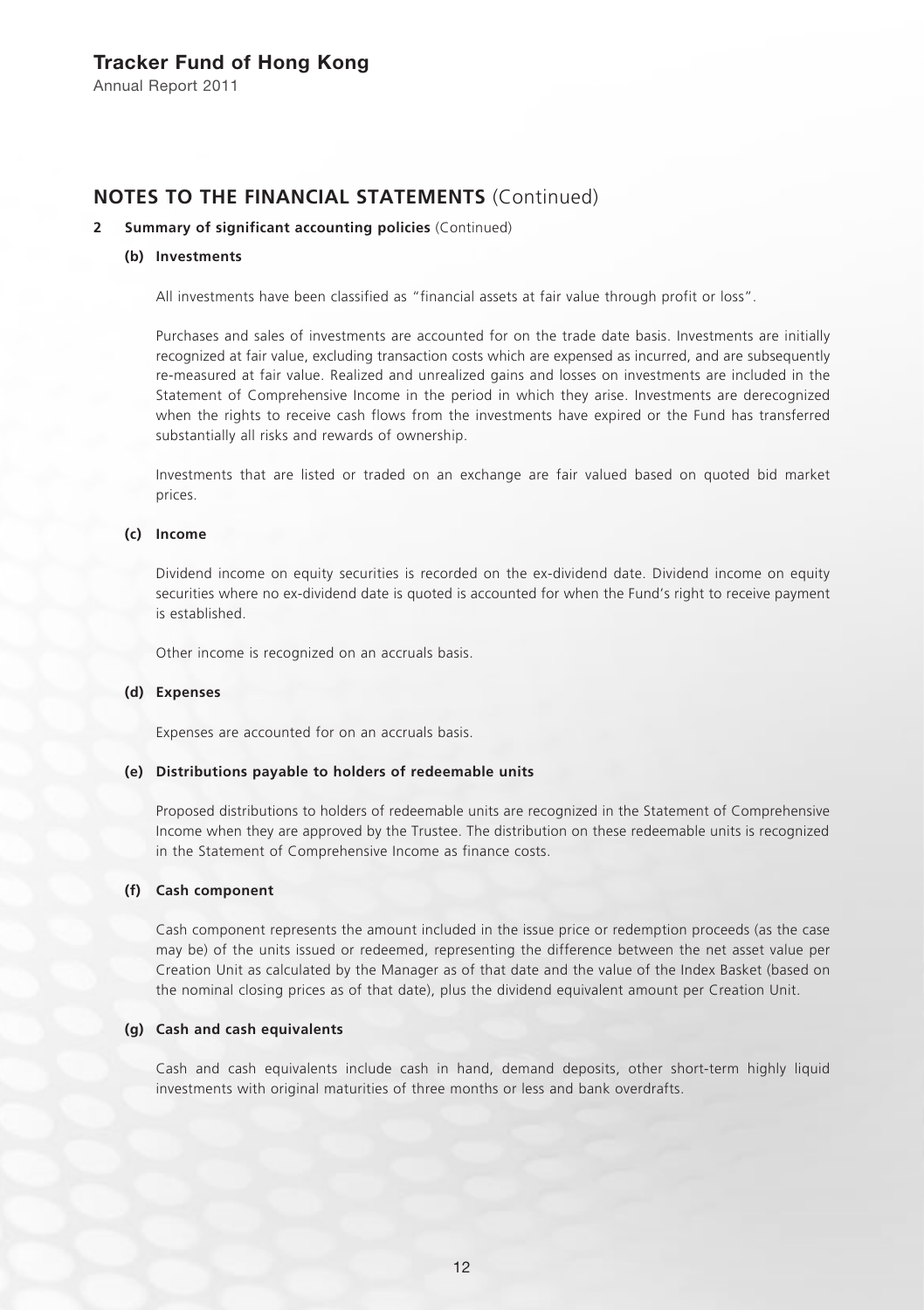## **NOTES TO THE FINANCIAL STATEMENTS** (Continued)

#### **2 Summary of significant accounting policies** (Continued)

#### **(b) Investments**

All investments have been classified as "financial assets at fair value through profit or loss".

Purchases and sales of investments are accounted for on the trade date basis. Investments are initially recognized at fair value, excluding transaction costs which are expensed as incurred, and are subsequently re-measured at fair value. Realized and unrealized gains and losses on investments are included in the Statement of Comprehensive Income in the period in which they arise. Investments are derecognized when the rights to receive cash flows from the investments have expired or the Fund has transferred substantially all risks and rewards of ownership.

Investments that are listed or traded on an exchange are fair valued based on quoted bid market prices.

#### **(c) Income**

Dividend income on equity securities is recorded on the ex-dividend date. Dividend income on equity securities where no ex-dividend date is quoted is accounted for when the Fund's right to receive payment is established.

Other income is recognized on an accruals basis.

#### **(d) Expenses**

Expenses are accounted for on an accruals basis.

#### **(e) Distributions payable to holders of redeemable units**

Proposed distributions to holders of redeemable units are recognized in the Statement of Comprehensive Income when they are approved by the Trustee. The distribution on these redeemable units is recognized in the Statement of Comprehensive Income as finance costs.

#### **(f) Cash component**

Cash component represents the amount included in the issue price or redemption proceeds (as the case may be) of the units issued or redeemed, representing the difference between the net asset value per Creation Unit as calculated by the Manager as of that date and the value of the Index Basket (based on the nominal closing prices as of that date), plus the dividend equivalent amount per Creation Unit.

#### **(g) Cash and cash equivalents**

Cash and cash equivalents include cash in hand, demand deposits, other short-term highly liquid investments with original maturities of three months or less and bank overdrafts.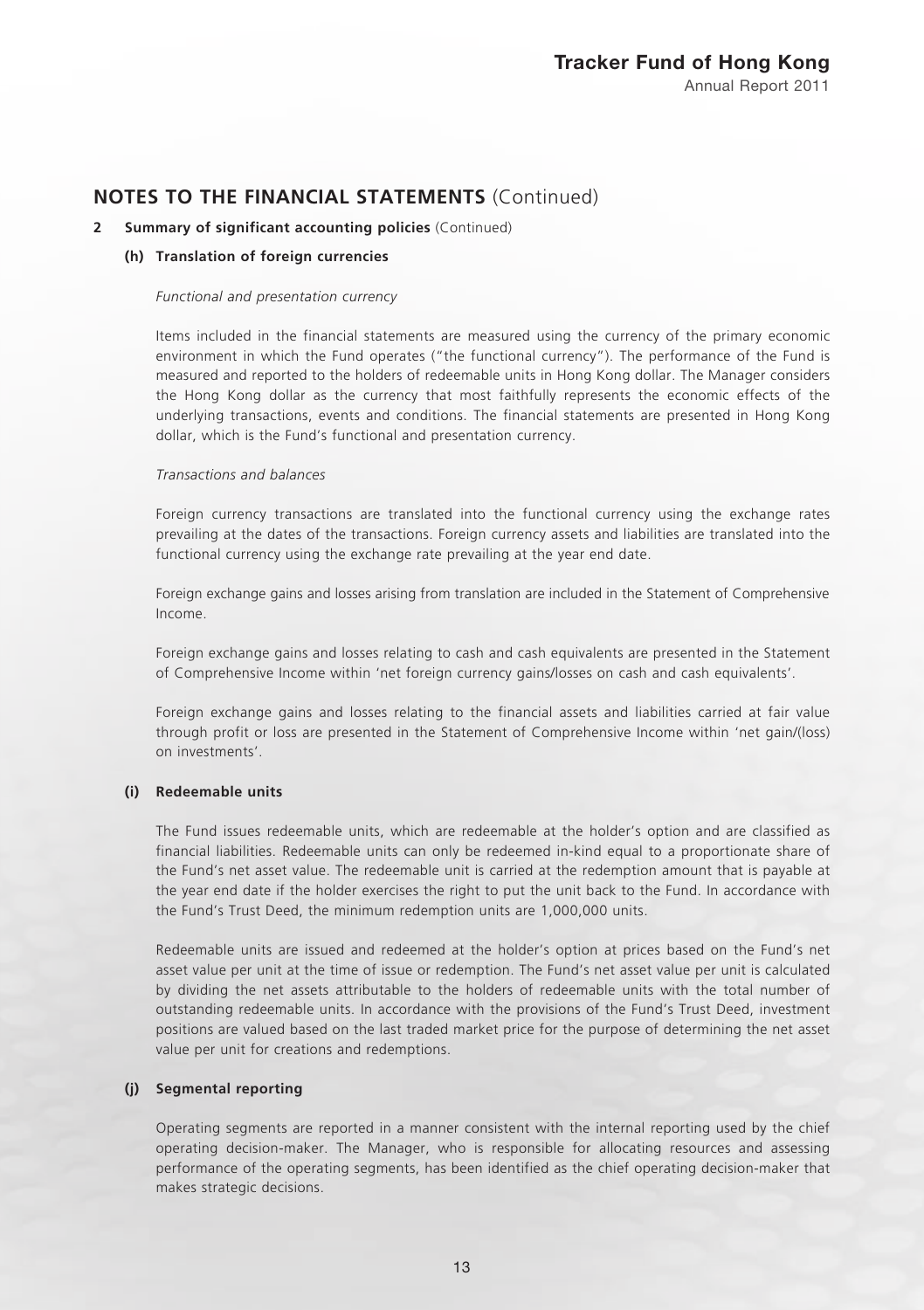#### **2 Summary of significant accounting policies** (Continued)

#### **(h) Translation of foreign currencies**

#### *Functional and presentation currency*

Items included in the financial statements are measured using the currency of the primary economic environment in which the Fund operates ("the functional currency"). The performance of the Fund is measured and reported to the holders of redeemable units in Hong Kong dollar. The Manager considers the Hong Kong dollar as the currency that most faithfully represents the economic effects of the underlying transactions, events and conditions. The financial statements are presented in Hong Kong dollar, which is the Fund's functional and presentation currency.

#### *Transactions and balances*

Foreign currency transactions are translated into the functional currency using the exchange rates prevailing at the dates of the transactions. Foreign currency assets and liabilities are translated into the functional currency using the exchange rate prevailing at the year end date.

Foreign exchange gains and losses arising from translation are included in the Statement of Comprehensive Income.

Foreign exchange gains and losses relating to cash and cash equivalents are presented in the Statement of Comprehensive Income within 'net foreign currency gains/losses on cash and cash equivalents'.

Foreign exchange gains and losses relating to the financial assets and liabilities carried at fair value through profit or loss are presented in the Statement of Comprehensive Income within 'net gain/(loss) on investments'.

#### **(i) Redeemable units**

The Fund issues redeemable units, which are redeemable at the holder's option and are classified as financial liabilities. Redeemable units can only be redeemed in-kind equal to a proportionate share of the Fund's net asset value. The redeemable unit is carried at the redemption amount that is payable at the year end date if the holder exercises the right to put the unit back to the Fund. In accordance with the Fund's Trust Deed, the minimum redemption units are 1,000,000 units.

Redeemable units are issued and redeemed at the holder's option at prices based on the Fund's net asset value per unit at the time of issue or redemption. The Fund's net asset value per unit is calculated by dividing the net assets attributable to the holders of redeemable units with the total number of outstanding redeemable units. In accordance with the provisions of the Fund's Trust Deed, investment positions are valued based on the last traded market price for the purpose of determining the net asset value per unit for creations and redemptions.

#### **(j) Segmental reporting**

Operating segments are reported in a manner consistent with the internal reporting used by the chief operating decision-maker. The Manager, who is responsible for allocating resources and assessing performance of the operating segments, has been identified as the chief operating decision-maker that makes strategic decisions.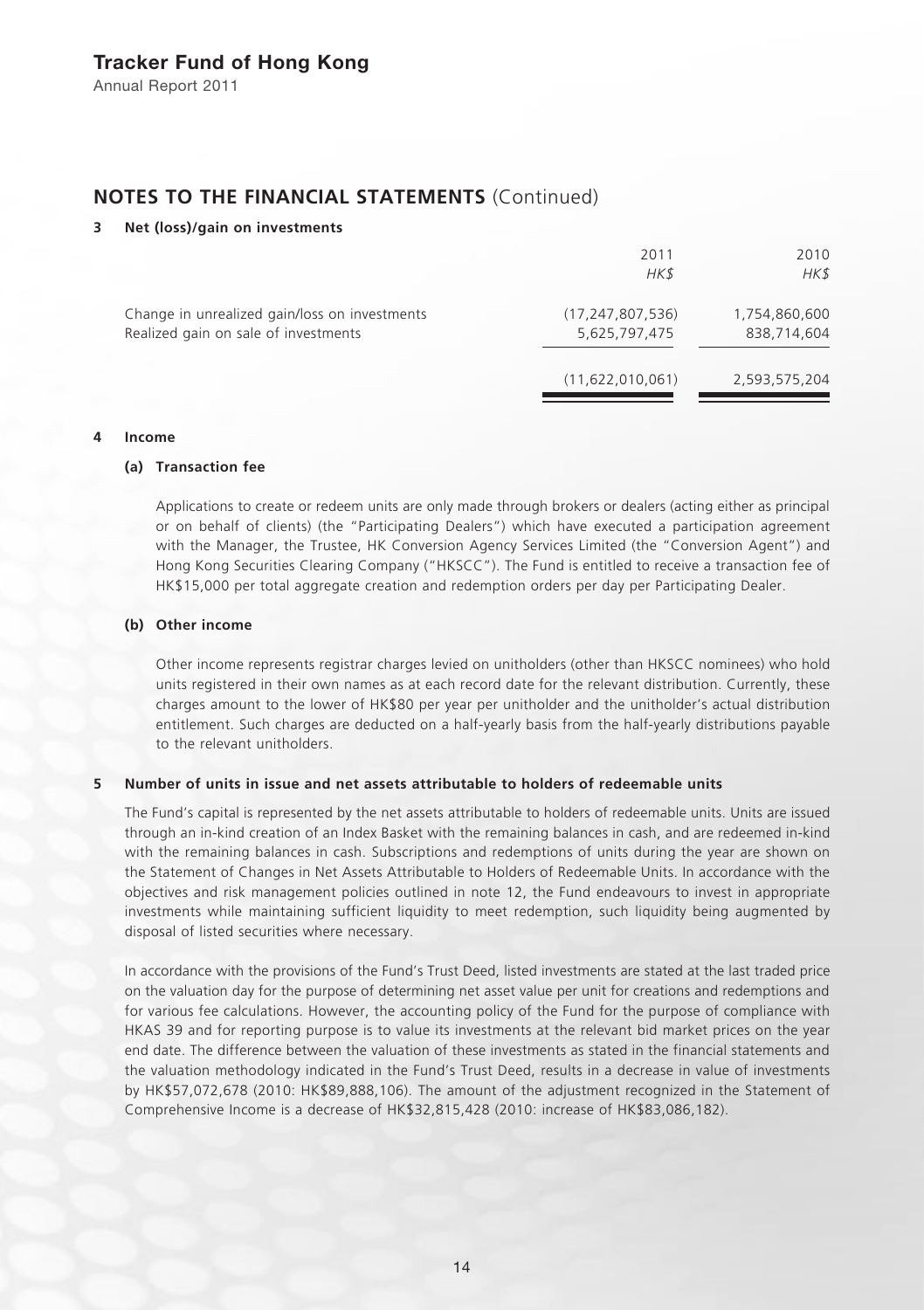## **NOTES TO THE FINANCIAL STATEMENTS** (Continued)

#### **3 Net (loss)/gain on investments**

|                                               | 2011                | 2010          |
|-----------------------------------------------|---------------------|---------------|
|                                               | HK\$                | HK\$          |
| Change in unrealized gain/loss on investments | (17, 247, 807, 536) | 1,754,860,600 |
| Realized gain on sale of investments          | 5,625,797,475       | 838,714,604   |
|                                               | (11,622,010,061)    | 2,593,575,204 |
|                                               |                     |               |

#### **4 Income**

#### **(a) Transaction fee**

Applications to create or redeem units are only made through brokers or dealers (acting either as principal or on behalf of clients) (the "Participating Dealers") which have executed a participation agreement with the Manager, the Trustee, HK Conversion Agency Services Limited (the "Conversion Agent") and Hong Kong Securities Clearing Company ("HKSCC"). The Fund is entitled to receive a transaction fee of HK\$15,000 per total aggregate creation and redemption orders per day per Participating Dealer.

#### **(b) Other income**

Other income represents registrar charges levied on unitholders (other than HKSCC nominees) who hold units registered in their own names as at each record date for the relevant distribution. Currently, these charges amount to the lower of HK\$80 per year per unitholder and the unitholder's actual distribution entitlement. Such charges are deducted on a half-yearly basis from the half-yearly distributions payable to the relevant unitholders.

#### **5 Number of units in issue and net assets attributable to holders of redeemable units**

The Fund's capital is represented by the net assets attributable to holders of redeemable units. Units are issued through an in-kind creation of an Index Basket with the remaining balances in cash, and are redeemed in-kind with the remaining balances in cash. Subscriptions and redemptions of units during the year are shown on the Statement of Changes in Net Assets Attributable to Holders of Redeemable Units. In accordance with the objectives and risk management policies outlined in note 12, the Fund endeavours to invest in appropriate investments while maintaining sufficient liquidity to meet redemption, such liquidity being augmented by disposal of listed securities where necessary.

In accordance with the provisions of the Fund's Trust Deed, listed investments are stated at the last traded price on the valuation day for the purpose of determining net asset value per unit for creations and redemptions and for various fee calculations. However, the accounting policy of the Fund for the purpose of compliance with HKAS 39 and for reporting purpose is to value its investments at the relevant bid market prices on the year end date. The difference between the valuation of these investments as stated in the financial statements and the valuation methodology indicated in the Fund's Trust Deed, results in a decrease in value of investments by HK\$57,072,678 (2010: HK\$89,888,106). The amount of the adjustment recognized in the Statement of Comprehensive Income is a decrease of HK\$32,815,428 (2010: increase of HK\$83,086,182).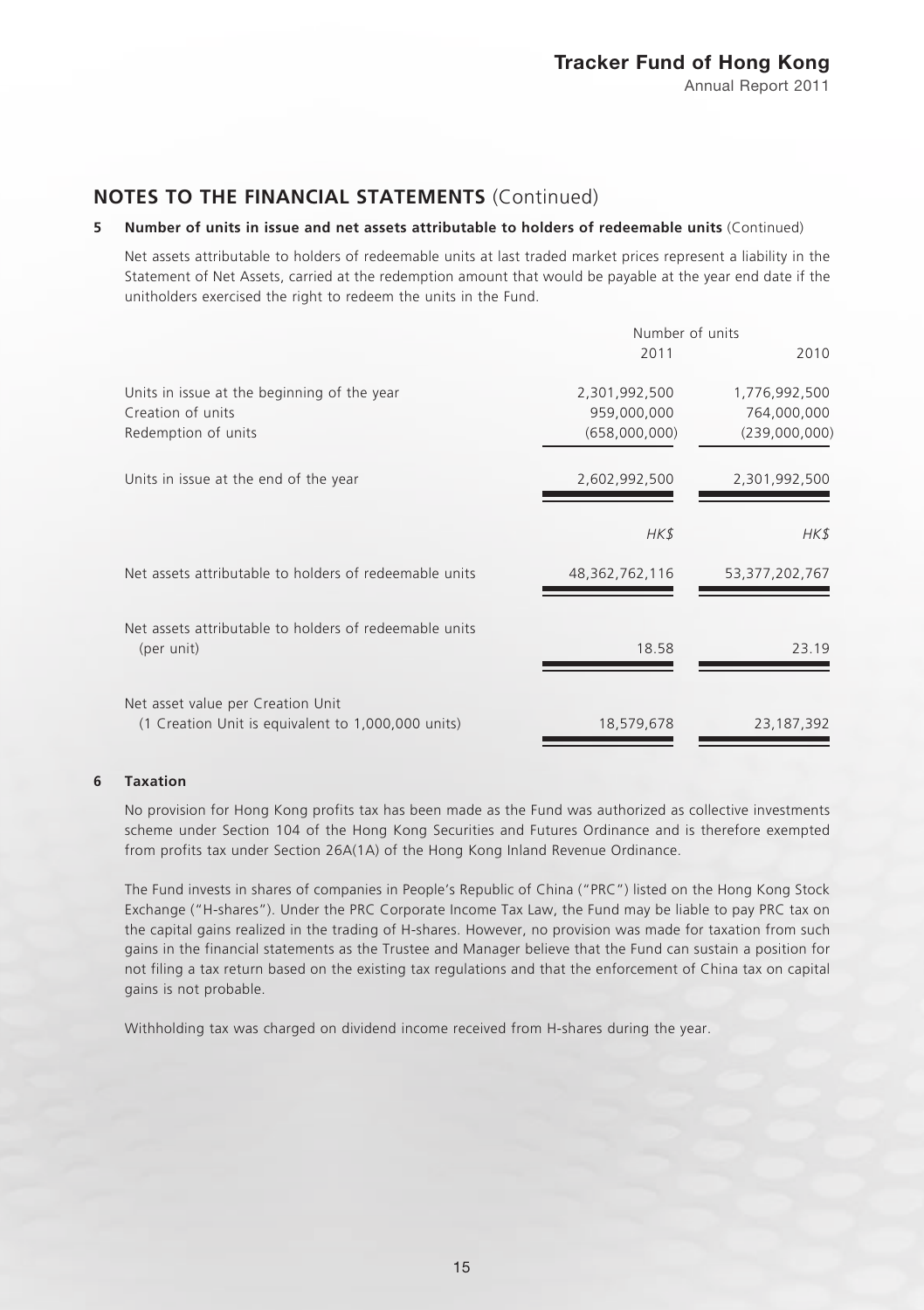### **5 Number of units in issue and net assets attributable to holders of redeemable units** (Continued)

Net assets attributable to holders of redeemable units at last traded market prices represent a liability in the Statement of Net Assets, carried at the redemption amount that would be payable at the year end date if the unitholders exercised the right to redeem the units in the Fund.

|                                                                                         | Number of units |                |  |
|-----------------------------------------------------------------------------------------|-----------------|----------------|--|
|                                                                                         | 2011            | 2010           |  |
| Units in issue at the beginning of the year                                             | 2,301,992,500   | 1,776,992,500  |  |
| Creation of units                                                                       | 959,000,000     | 764,000,000    |  |
| Redemption of units                                                                     | (658,000,000)   | (239,000,000)  |  |
| Units in issue at the end of the year                                                   | 2,602,992,500   | 2,301,992,500  |  |
|                                                                                         | HK\$            | HK\$           |  |
| Net assets attributable to holders of redeemable units                                  | 48,362,762,116  | 53,377,202,767 |  |
| Net assets attributable to holders of redeemable units<br>(per unit)                    | 18.58           | 23.19          |  |
| Net asset value per Creation Unit<br>(1 Creation Unit is equivalent to 1,000,000 units) | 18,579,678      | 23, 187, 392   |  |

#### **6 Taxation**

No provision for Hong Kong profits tax has been made as the Fund was authorized as collective investments scheme under Section 104 of the Hong Kong Securities and Futures Ordinance and is therefore exempted from profits tax under Section 26A(1A) of the Hong Kong Inland Revenue Ordinance.

The Fund invests in shares of companies in People's Republic of China ("PRC") listed on the Hong Kong Stock Exchange ("H-shares"). Under the PRC Corporate Income Tax Law, the Fund may be liable to pay PRC tax on the capital gains realized in the trading of H-shares. However, no provision was made for taxation from such gains in the financial statements as the Trustee and Manager believe that the Fund can sustain a position for not filing a tax return based on the existing tax regulations and that the enforcement of China tax on capital gains is not probable.

Withholding tax was charged on dividend income received from H-shares during the year.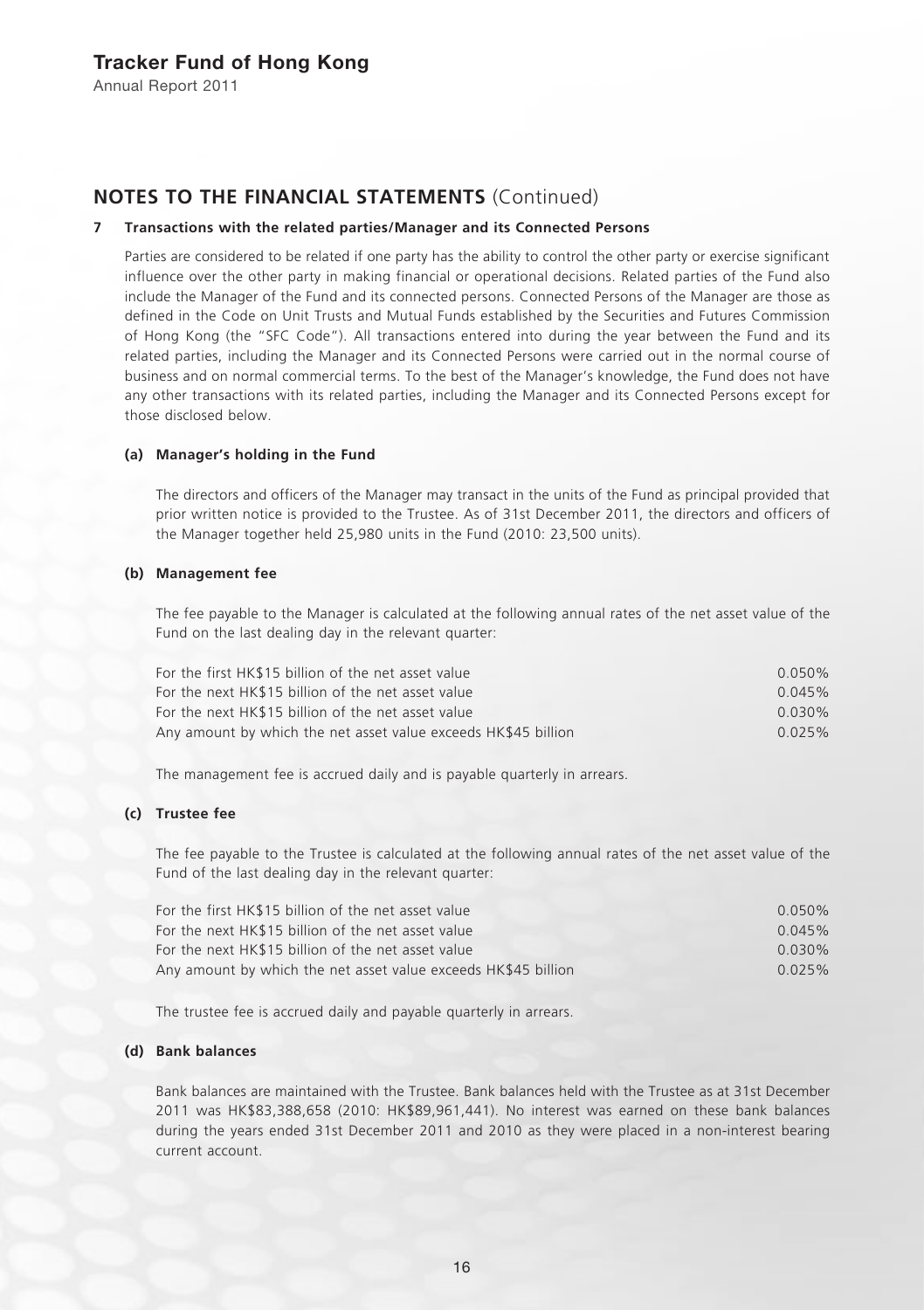## **NOTES TO THE FINANCIAL STATEMENTS** (Continued)

#### **7 Transactions with the related parties/Manager and its Connected Persons**

Parties are considered to be related if one party has the ability to control the other party or exercise significant influence over the other party in making financial or operational decisions. Related parties of the Fund also include the Manager of the Fund and its connected persons. Connected Persons of the Manager are those as defined in the Code on Unit Trusts and Mutual Funds established by the Securities and Futures Commission of Hong Kong (the "SFC Code"). All transactions entered into during the year between the Fund and its related parties, including the Manager and its Connected Persons were carried out in the normal course of business and on normal commercial terms. To the best of the Manager's knowledge, the Fund does not have any other transactions with its related parties, including the Manager and its Connected Persons except for those disclosed below.

#### **(a) Manager's holding in the Fund**

The directors and officers of the Manager may transact in the units of the Fund as principal provided that prior written notice is provided to the Trustee. As of 31st December 2011, the directors and officers of the Manager together held 25,980 units in the Fund (2010: 23,500 units).

#### **(b) Management fee**

The fee payable to the Manager is calculated at the following annual rates of the net asset value of the Fund on the last dealing day in the relevant quarter:

| For the first HK\$15 billion of the net asset value            | $0.050\%$ |
|----------------------------------------------------------------|-----------|
| For the next HK\$15 billion of the net asset value             | 0.045%    |
| For the next HK\$15 billion of the net asset value             | $0.030\%$ |
| Any amount by which the net asset value exceeds HK\$45 billion | 0.025%    |

The management fee is accrued daily and is payable quarterly in arrears.

### **(c) Trustee fee**

The fee payable to the Trustee is calculated at the following annual rates of the net asset value of the Fund of the last dealing day in the relevant quarter:

| For the first HK\$15 billion of the net asset value            | $0.050\%$ |
|----------------------------------------------------------------|-----------|
| For the next HK\$15 billion of the net asset value             | 0.045%    |
| For the next HK\$15 billion of the net asset value             | $0.030\%$ |
| Any amount by which the net asset value exceeds HK\$45 billion | 0.025%    |

The trustee fee is accrued daily and payable quarterly in arrears.

#### **(d) Bank balances**

Bank balances are maintained with the Trustee. Bank balances held with the Trustee as at 31st December 2011 was HK\$83,388,658 (2010: HK\$89,961,441). No interest was earned on these bank balances during the years ended 31st December 2011 and 2010 as they were placed in a non-interest bearing current account.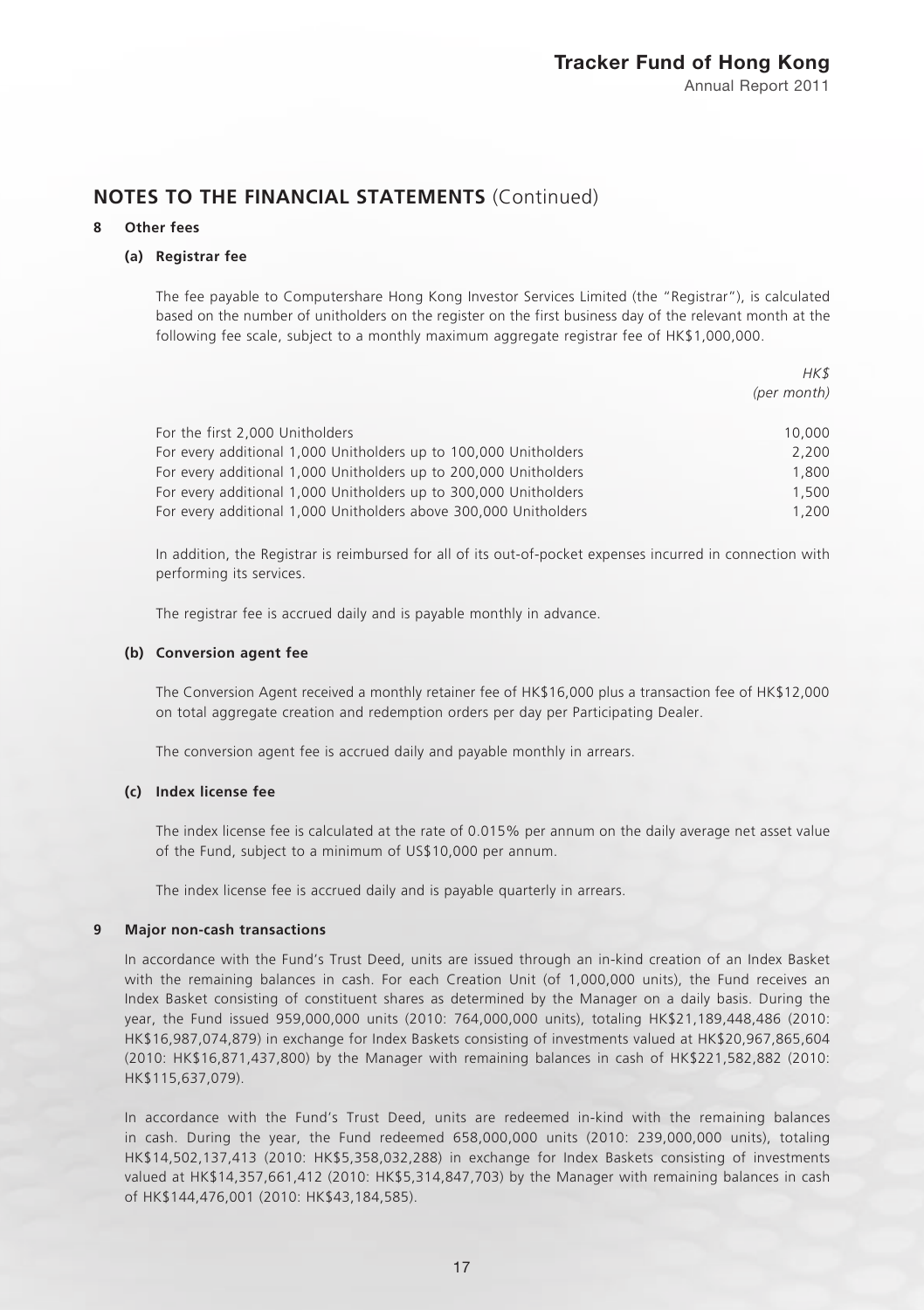#### **8 Other fees**

#### **(a) Registrar fee**

The fee payable to Computershare Hong Kong Investor Services Limited (the "Registrar"), is calculated based on the number of unitholders on the register on the first business day of the relevant month at the following fee scale, subject to a monthly maximum aggregate registrar fee of HK\$1,000,000.

|                                                                  | HK\$        |
|------------------------------------------------------------------|-------------|
|                                                                  | (per month) |
| For the first 2,000 Unitholders                                  | 10,000      |
| For every additional 1,000 Unitholders up to 100,000 Unitholders | 2.200       |
| For every additional 1,000 Unitholders up to 200,000 Unitholders | 1,800       |
| For every additional 1,000 Unitholders up to 300,000 Unitholders | 1,500       |
| For every additional 1,000 Unitholders above 300,000 Unitholders | 1,200       |

In addition, the Registrar is reimbursed for all of its out-of-pocket expenses incurred in connection with performing its services.

The registrar fee is accrued daily and is payable monthly in advance.

#### **(b) Conversion agent fee**

The Conversion Agent received a monthly retainer fee of HK\$16,000 plus a transaction fee of HK\$12,000 on total aggregate creation and redemption orders per day per Participating Dealer.

The conversion agent fee is accrued daily and payable monthly in arrears.

#### **(c) Index license fee**

The index license fee is calculated at the rate of 0.015% per annum on the daily average net asset value of the Fund, subject to a minimum of US\$10,000 per annum.

The index license fee is accrued daily and is payable quarterly in arrears.

#### **9 Major non-cash transactions**

In accordance with the Fund's Trust Deed, units are issued through an in-kind creation of an Index Basket with the remaining balances in cash. For each Creation Unit (of 1,000,000 units), the Fund receives an Index Basket consisting of constituent shares as determined by the Manager on a daily basis. During the year, the Fund issued 959,000,000 units (2010: 764,000,000 units), totaling HK\$21,189,448,486 (2010: HK\$16,987,074,879) in exchange for Index Baskets consisting of investments valued at HK\$20,967,865,604 (2010: HK\$16,871,437,800) by the Manager with remaining balances in cash of HK\$221,582,882 (2010: HK\$115,637,079).

In accordance with the Fund's Trust Deed, units are redeemed in-kind with the remaining balances in cash. During the year, the Fund redeemed 658,000,000 units (2010: 239,000,000 units), totaling HK\$14,502,137,413 (2010: HK\$5,358,032,288) in exchange for Index Baskets consisting of investments valued at HK\$14,357,661,412 (2010: HK\$5,314,847,703) by the Manager with remaining balances in cash of HK\$144,476,001 (2010: HK\$43,184,585).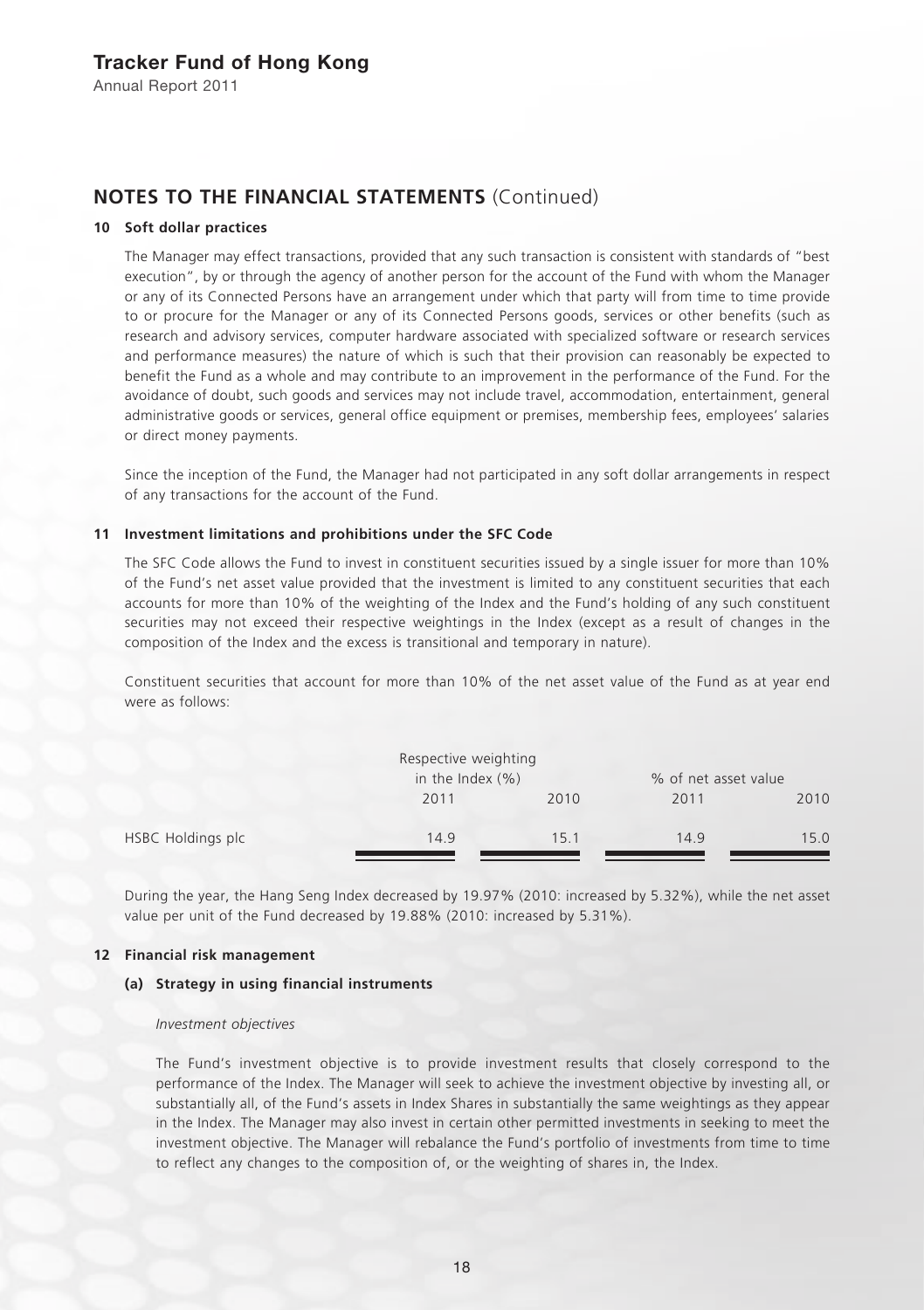## **NOTES TO THE FINANCIAL STATEMENTS** (Continued)

#### **10 Soft dollar practices**

The Manager may effect transactions, provided that any such transaction is consistent with standards of "best execution", by or through the agency of another person for the account of the Fund with whom the Manager or any of its Connected Persons have an arrangement under which that party will from time to time provide to or procure for the Manager or any of its Connected Persons goods, services or other benefits (such as research and advisory services, computer hardware associated with specialized software or research services and performance measures) the nature of which is such that their provision can reasonably be expected to benefit the Fund as a whole and may contribute to an improvement in the performance of the Fund. For the avoidance of doubt, such goods and services may not include travel, accommodation, entertainment, general administrative goods or services, general office equipment or premises, membership fees, employees' salaries or direct money payments.

Since the inception of the Fund, the Manager had not participated in any soft dollar arrangements in respect of any transactions for the account of the Fund.

#### **11 Investment limitations and prohibitions under the SFC Code**

The SFC Code allows the Fund to invest in constituent securities issued by a single issuer for more than 10% of the Fund's net asset value provided that the investment is limited to any constituent securities that each accounts for more than 10% of the weighting of the Index and the Fund's holding of any such constituent securities may not exceed their respective weightings in the Index (except as a result of changes in the composition of the Index and the excess is transitional and temporary in nature).

Constituent securities that account for more than 10% of the net asset value of the Fund as at year end were as follows:

|                   |      | Respective weighting<br>in the Index $(\% )$ |      | % of net asset value |
|-------------------|------|----------------------------------------------|------|----------------------|
|                   | 2011 | 2010                                         | 2011 | 2010                 |
| HSBC Holdings plc | 14.9 | 15.1                                         | 14.9 | 15.0                 |

During the year, the Hang Seng Index decreased by 19.97% (2010: increased by 5.32%), while the net asset value per unit of the Fund decreased by 19.88% (2010: increased by 5.31%).

#### **12 Financial risk management**

#### **(a) Strategy in using financial instruments**

#### *Investment objectives*

The Fund's investment objective is to provide investment results that closely correspond to the performance of the Index. The Manager will seek to achieve the investment objective by investing all, or substantially all, of the Fund's assets in Index Shares in substantially the same weightings as they appear in the Index. The Manager may also invest in certain other permitted investments in seeking to meet the investment objective. The Manager will rebalance the Fund's portfolio of investments from time to time to reflect any changes to the composition of, or the weighting of shares in, the Index.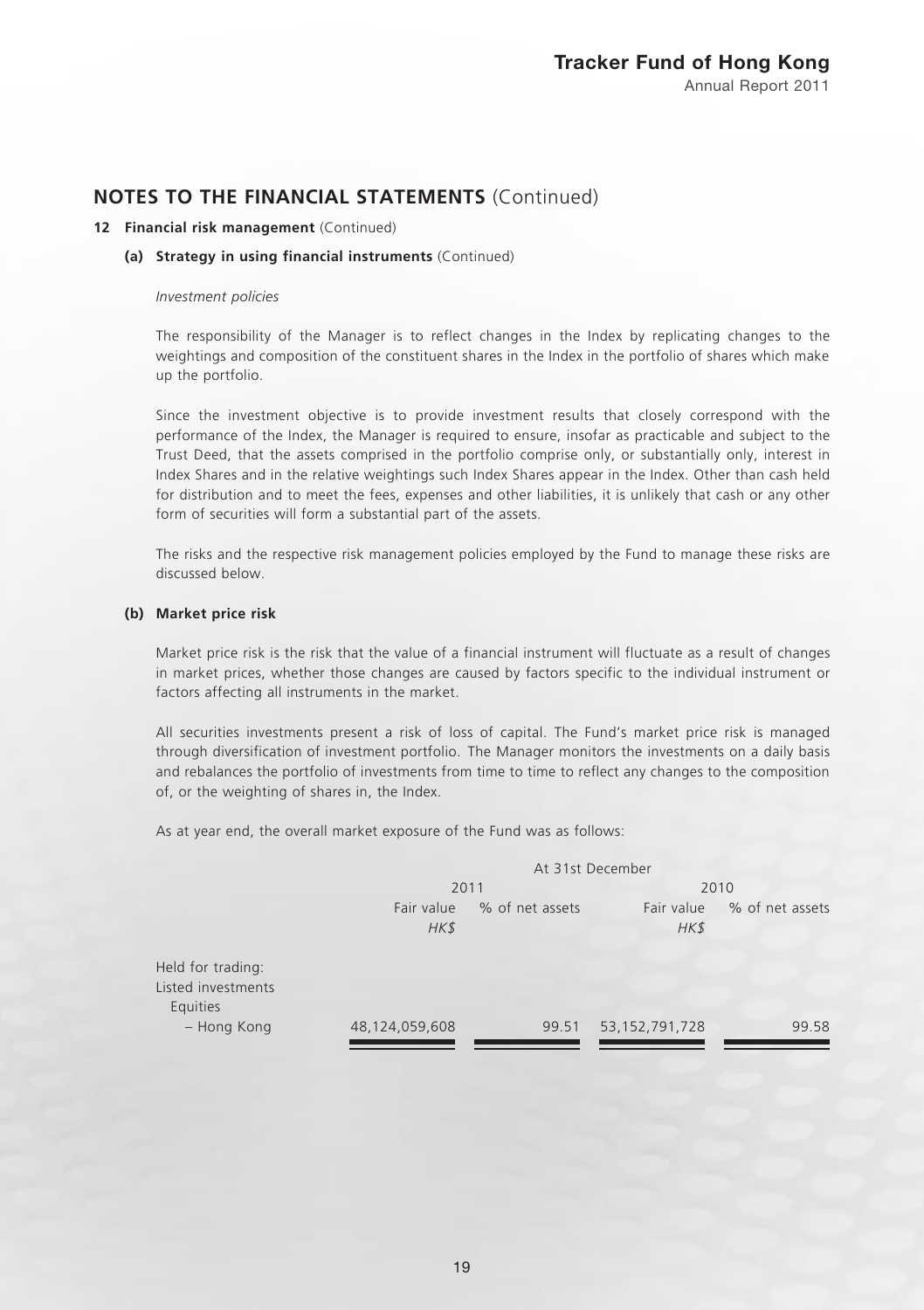#### **12 Financial risk management** (Continued)

#### **(a) Strategy in using financial instruments** (Continued)

#### *Investment policies*

The responsibility of the Manager is to reflect changes in the Index by replicating changes to the weightings and composition of the constituent shares in the Index in the portfolio of shares which make up the portfolio.

Since the investment objective is to provide investment results that closely correspond with the performance of the Index, the Manager is required to ensure, insofar as practicable and subject to the Trust Deed, that the assets comprised in the portfolio comprise only, or substantially only, interest in Index Shares and in the relative weightings such Index Shares appear in the Index. Other than cash held for distribution and to meet the fees, expenses and other liabilities, it is unlikely that cash or any other form of securities will form a substantial part of the assets.

The risks and the respective risk management policies employed by the Fund to manage these risks are discussed below.

#### **(b) Market price risk**

Market price risk is the risk that the value of a financial instrument will fluctuate as a result of changes in market prices, whether those changes are caused by factors specific to the individual instrument or factors affecting all instruments in the market.

All securities investments present a risk of loss of capital. The Fund's market price risk is managed through diversification of investment portfolio. The Manager monitors the investments on a daily basis and rebalances the portfolio of investments from time to time to reflect any changes to the composition of, or the weighting of shares in, the Index.

As at year end, the overall market exposure of the Fund was as follows:

|                                                     |                    | At 31st December |                    |                 |  |  |
|-----------------------------------------------------|--------------------|------------------|--------------------|-----------------|--|--|
|                                                     |                    | 2011             |                    | 2010            |  |  |
|                                                     | Fair value<br>HK\$ | % of net assets  | Fair value<br>HK\$ | % of net assets |  |  |
| Held for trading:<br>Listed investments<br>Equities |                    |                  |                    |                 |  |  |
| - Hong Kong                                         | 48,124,059,608     | 99.51            | 53, 152, 791, 728  | 99.58           |  |  |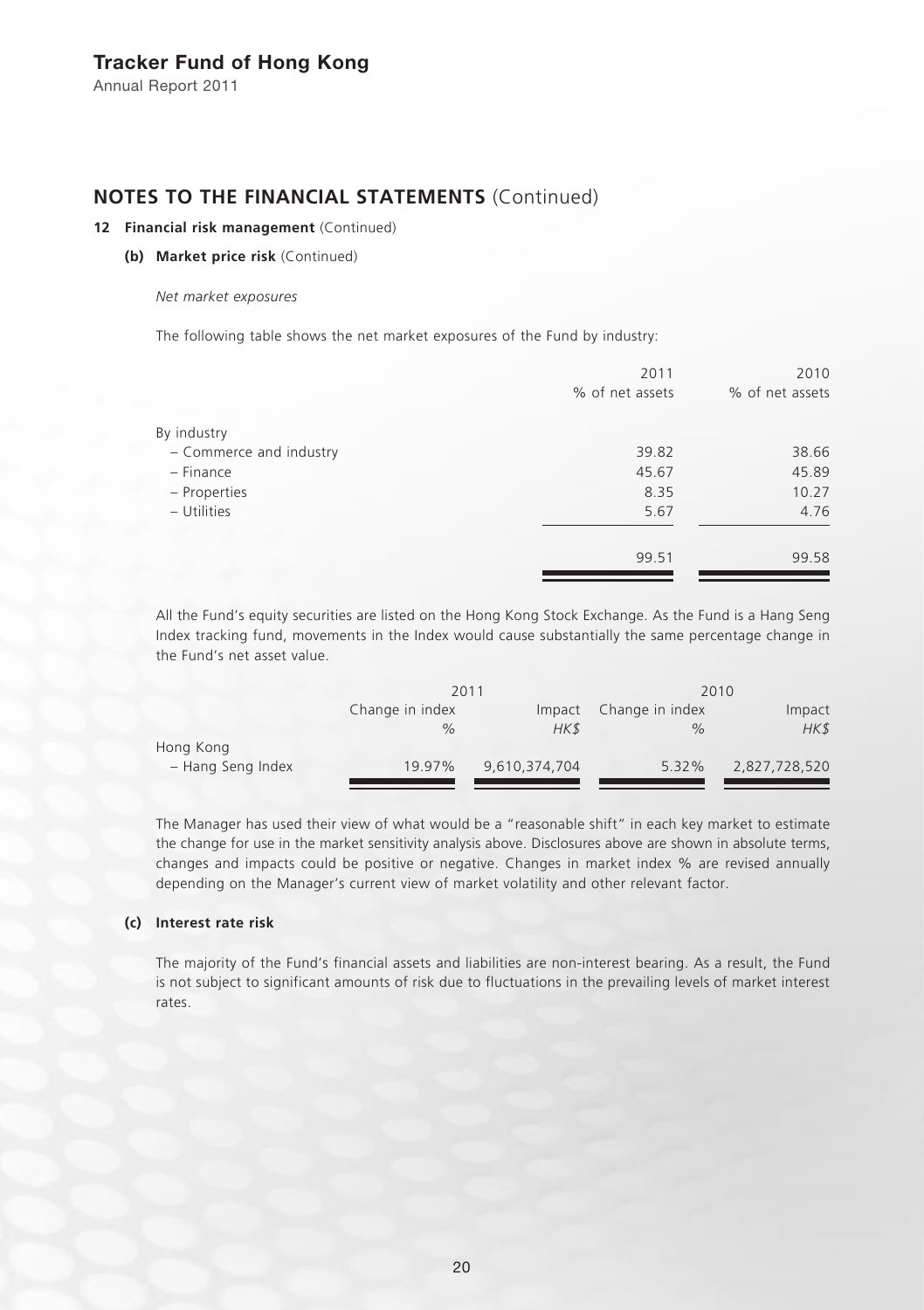## Tracker Fund of Hong Kong

Annual Report 2011

## **NOTES TO THE FINANCIAL STATEMENTS** (Continued)

#### **12 Financial risk management** (Continued)

**(b) Market price risk** (Continued)

#### *Net market exposures*

The following table shows the net market exposures of the Fund by industry:

| 2010            |
|-----------------|
| % of net assets |
|                 |
| 38.66           |
| 45.89           |
| 10.27           |
| 4.76            |
| 99.58           |
|                 |

All the Fund's equity securities are listed on the Hong Kong Stock Exchange. As the Fund is a Hang Seng Index tracking fund, movements in the Index would cause substantially the same percentage change in the Fund's net asset value.

|                   | 2011            |               | 2010            |               |
|-------------------|-----------------|---------------|-----------------|---------------|
|                   | Change in index | Impact        | Change in index | Impact        |
|                   | $\frac{9}{6}$   | HK\$          | $\%$            | HK\$          |
| Hong Kong         |                 |               |                 |               |
| - Hang Seng Index | 19.97%          | 9,610,374,704 | 5.32%           | 2,827,728,520 |
|                   |                 |               |                 |               |

The Manager has used their view of what would be a "reasonable shift" in each key market to estimate the change for use in the market sensitivity analysis above. Disclosures above are shown in absolute terms, changes and impacts could be positive or negative. Changes in market index % are revised annually depending on the Manager's current view of market volatility and other relevant factor.

#### **(c) Interest rate risk**

The majority of the Fund's financial assets and liabilities are non-interest bearing. As a result, the Fund is not subject to significant amounts of risk due to fluctuations in the prevailing levels of market interest rates.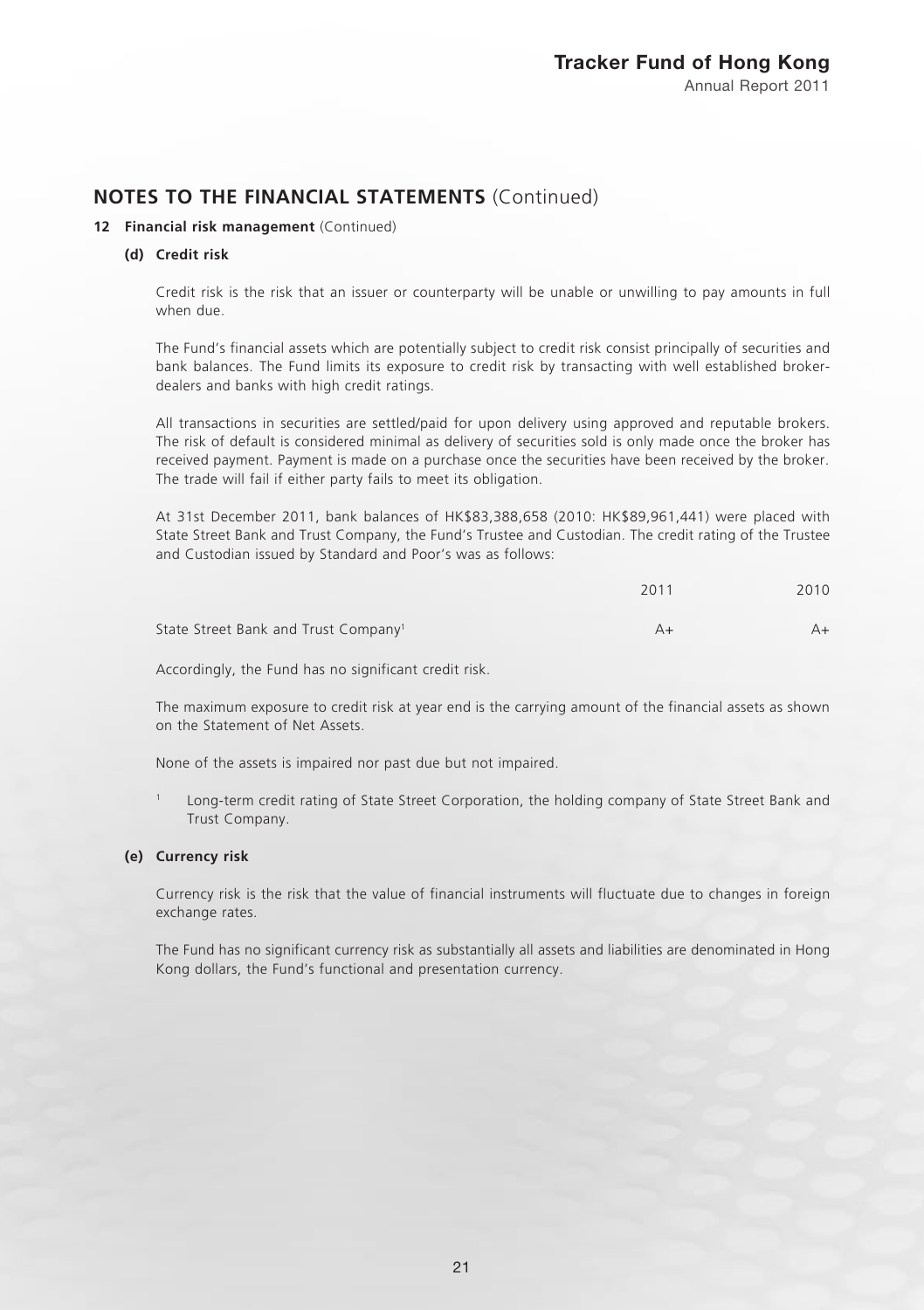#### **12 Financial risk management** (Continued)

#### **(d) Credit risk**

Credit risk is the risk that an issuer or counterparty will be unable or unwilling to pay amounts in full when due.

The Fund's financial assets which are potentially subject to credit risk consist principally of securities and bank balances. The Fund limits its exposure to credit risk by transacting with well established brokerdealers and banks with high credit ratings.

All transactions in securities are settled/paid for upon delivery using approved and reputable brokers. The risk of default is considered minimal as delivery of securities sold is only made once the broker has received payment. Payment is made on a purchase once the securities have been received by the broker. The trade will fail if either party fails to meet its obligation.

At 31st December 2011, bank balances of HK\$83,388,658 (2010: HK\$89,961,441) were placed with State Street Bank and Trust Company, the Fund's Trustee and Custodian. The credit rating of the Trustee and Custodian issued by Standard and Poor's was as follows:

|                                                  | 2011 | 2010 |
|--------------------------------------------------|------|------|
| State Street Bank and Trust Company <sup>1</sup> | A+   | A+   |

Accordingly, the Fund has no significant credit risk.

The maximum exposure to credit risk at year end is the carrying amount of the financial assets as shown on the Statement of Net Assets.

None of the assets is impaired nor past due but not impaired.

<sup>1</sup> Long-term credit rating of State Street Corporation, the holding company of State Street Bank and Trust Company.

#### **(e) Currency risk**

Currency risk is the risk that the value of financial instruments will fluctuate due to changes in foreign exchange rates.

The Fund has no significant currency risk as substantially all assets and liabilities are denominated in Hong Kong dollars, the Fund's functional and presentation currency.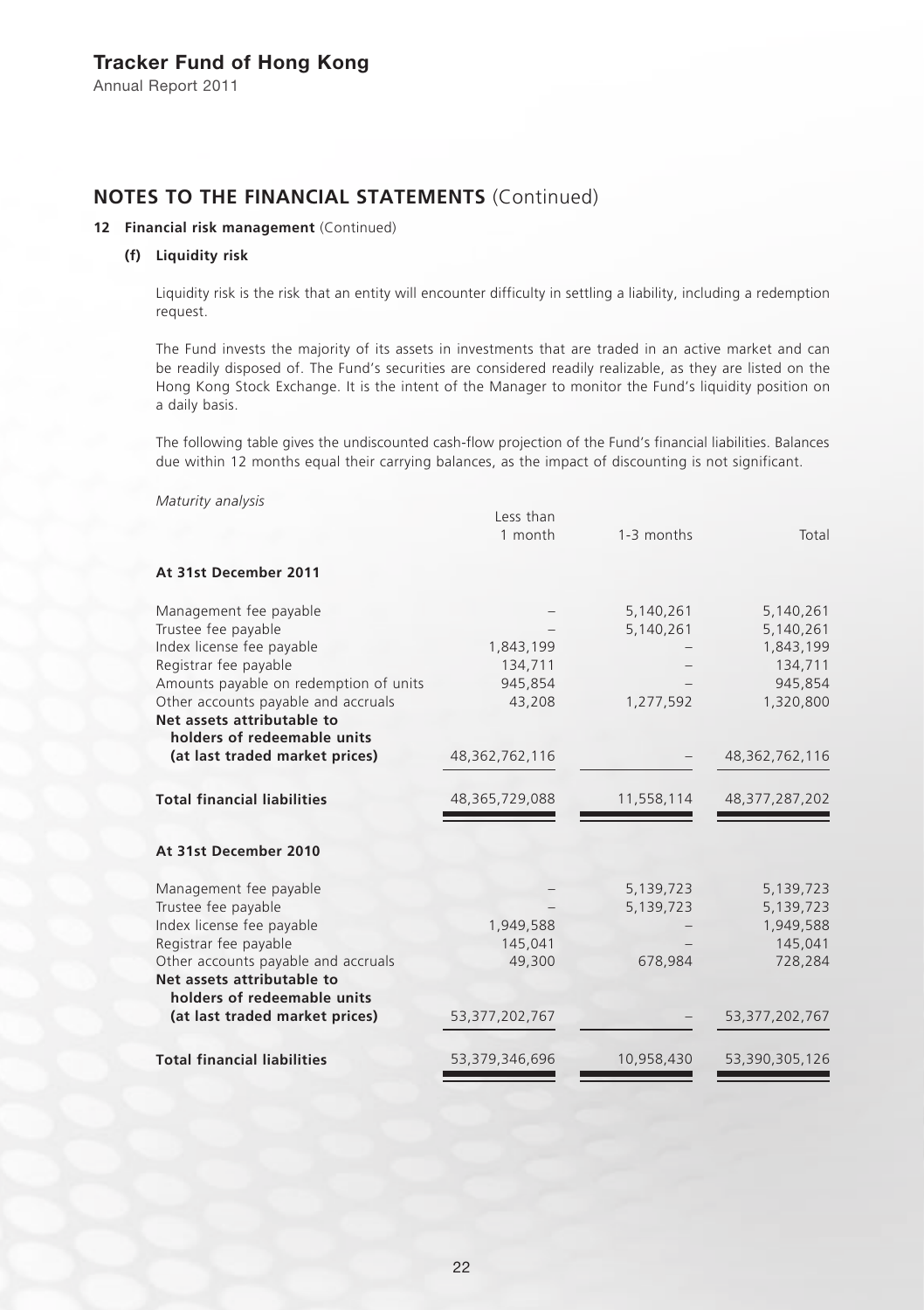## **NOTES TO THE FINANCIAL STATEMENTS** (Continued)

#### **12 Financial risk management** (Continued)

## **(f) Liquidity risk**

*Maturity analysis*

Liquidity risk is the risk that an entity will encounter difficulty in settling a liability, including a redemption request.

The Fund invests the majority of its assets in investments that are traded in an active market and can be readily disposed of. The Fund's securities are considered readily realizable, as they are listed on the Hong Kong Stock Exchange. It is the intent of the Manager to monitor the Fund's liquidity position on a daily basis.

The following table gives the undiscounted cash-flow projection of the Fund's financial liabilities. Balances due within 12 months equal their carrying balances, as the impact of discounting is not significant.

|                                                           | Less than      |            |                |
|-----------------------------------------------------------|----------------|------------|----------------|
|                                                           | 1 month        | 1-3 months | Total          |
| At 31st December 2011                                     |                |            |                |
| Management fee payable                                    |                | 5,140,261  | 5,140,261      |
| Trustee fee payable                                       |                | 5,140,261  | 5,140,261      |
| Index license fee payable                                 | 1,843,199      |            | 1,843,199      |
| Registrar fee payable                                     | 134,711        |            | 134,711        |
| Amounts payable on redemption of units                    | 945,854        |            | 945,854        |
| Other accounts payable and accruals                       | 43,208         | 1,277,592  | 1,320,800      |
| Net assets attributable to<br>holders of redeemable units |                |            |                |
| (at last traded market prices)                            | 48,362,762,116 |            | 48,362,762,116 |
| <b>Total financial liabilities</b>                        | 48,365,729,088 | 11,558,114 | 48,377,287,202 |
| At 31st December 2010                                     |                |            |                |
| Management fee payable                                    |                | 5,139,723  | 5,139,723      |
| Trustee fee payable                                       |                | 5,139,723  | 5,139,723      |
| Index license fee payable                                 | 1,949,588      |            | 1,949,588      |
| Registrar fee payable                                     | 145,041        |            | 145,041        |
| Other accounts payable and accruals                       | 49,300         | 678,984    | 728,284        |
| Net assets attributable to                                |                |            |                |
| holders of redeemable units                               |                |            |                |
| (at last traded market prices)                            | 53,377,202,767 |            | 53,377,202,767 |
| <b>Total financial liabilities</b>                        | 53,379,346,696 | 10,958,430 | 53,390,305,126 |
|                                                           |                |            |                |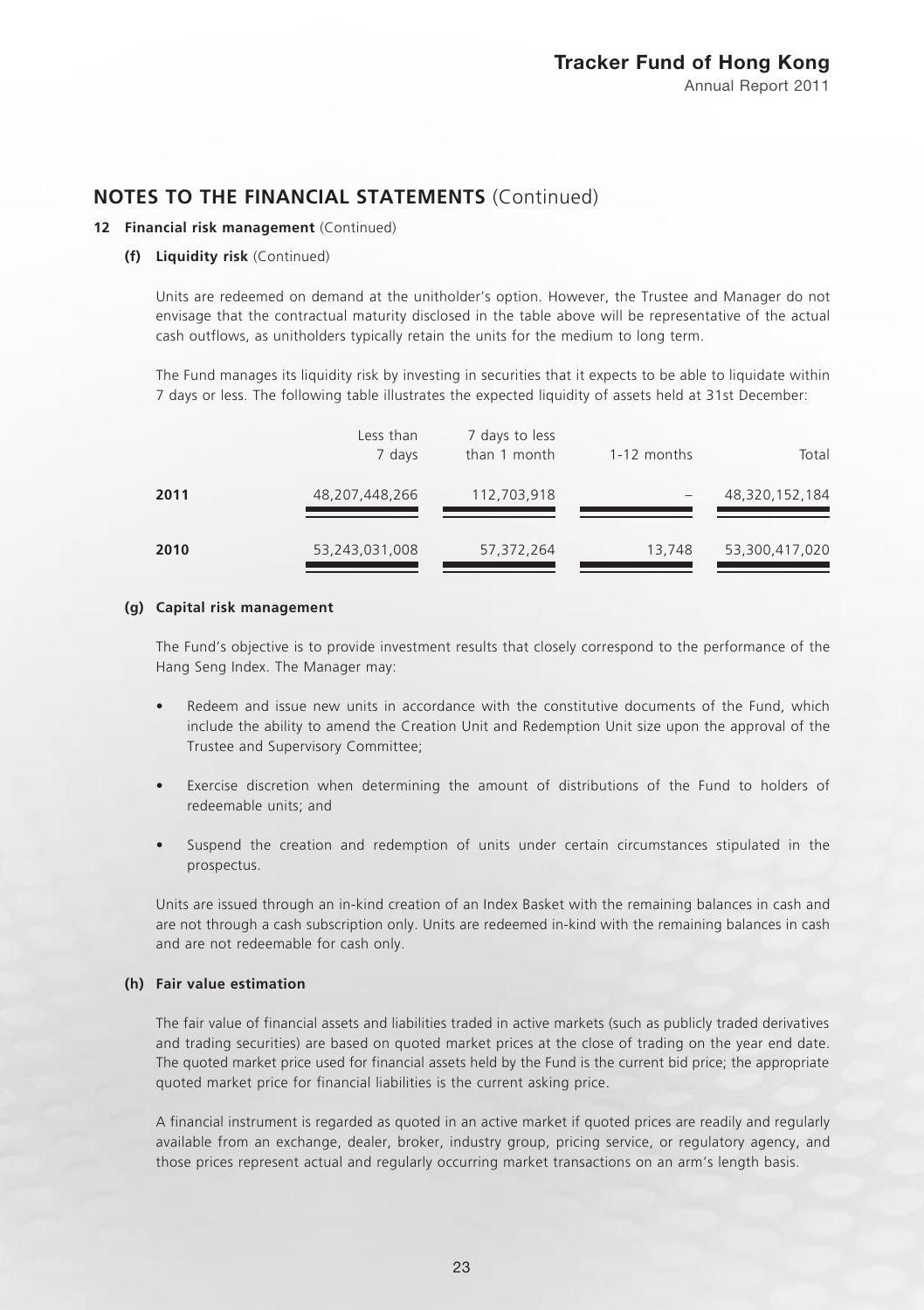#### **12 Financial risk management** (Continued)

#### **(f) Liquidity risk** (Continued)

Units are redeemed on demand at the unitholder's option. However, the Trustee and Manager do not envisage that the contractual maturity disclosed in the table above will be representative of the actual cash outflows, as unitholders typically retain the units for the medium to long term.

The Fund manages its liquidity risk by investing in securities that it expects to be able to liquidate within 7 days or less. The following table illustrates the expected liquidity of assets held at 31st December:

|      | Less than<br>7 days | 7 days to less<br>than 1 month | 1-12 months | Total          |
|------|---------------------|--------------------------------|-------------|----------------|
| 2011 | 48,207,448,266      | 112,703,918                    |             | 48,320,152,184 |
| 2010 | 53,243,031,008      | 57,372,264                     | 13,748      | 53,300,417,020 |

#### **(g) Capital risk management**

The Fund's objective is to provide investment results that closely correspond to the performance of the Hang Seng Index. The Manager may:

- Redeem and issue new units in accordance with the constitutive documents of the Fund, which include the ability to amend the Creation Unit and Redemption Unit size upon the approval of the Trustee and Supervisory Committee;
- Exercise discretion when determining the amount of distributions of the Fund to holders of redeemable units; and
- Suspend the creation and redemption of units under certain circumstances stipulated in the prospectus.

Units are issued through an in-kind creation of an Index Basket with the remaining balances in cash and are not through a cash subscription only. Units are redeemed in-kind with the remaining balances in cash and are not redeemable for cash only.

#### **(h) Fair value estimation**

The fair value of financial assets and liabilities traded in active markets (such as publicly traded derivatives and trading securities) are based on quoted market prices at the close of trading on the year end date. The quoted market price used for financial assets held by the Fund is the current bid price; the appropriate quoted market price for financial liabilities is the current asking price.

A financial instrument is regarded as quoted in an active market if quoted prices are readily and regularly available from an exchange, dealer, broker, industry group, pricing service, or regulatory agency, and those prices represent actual and regularly occurring market transactions on an arm's length basis.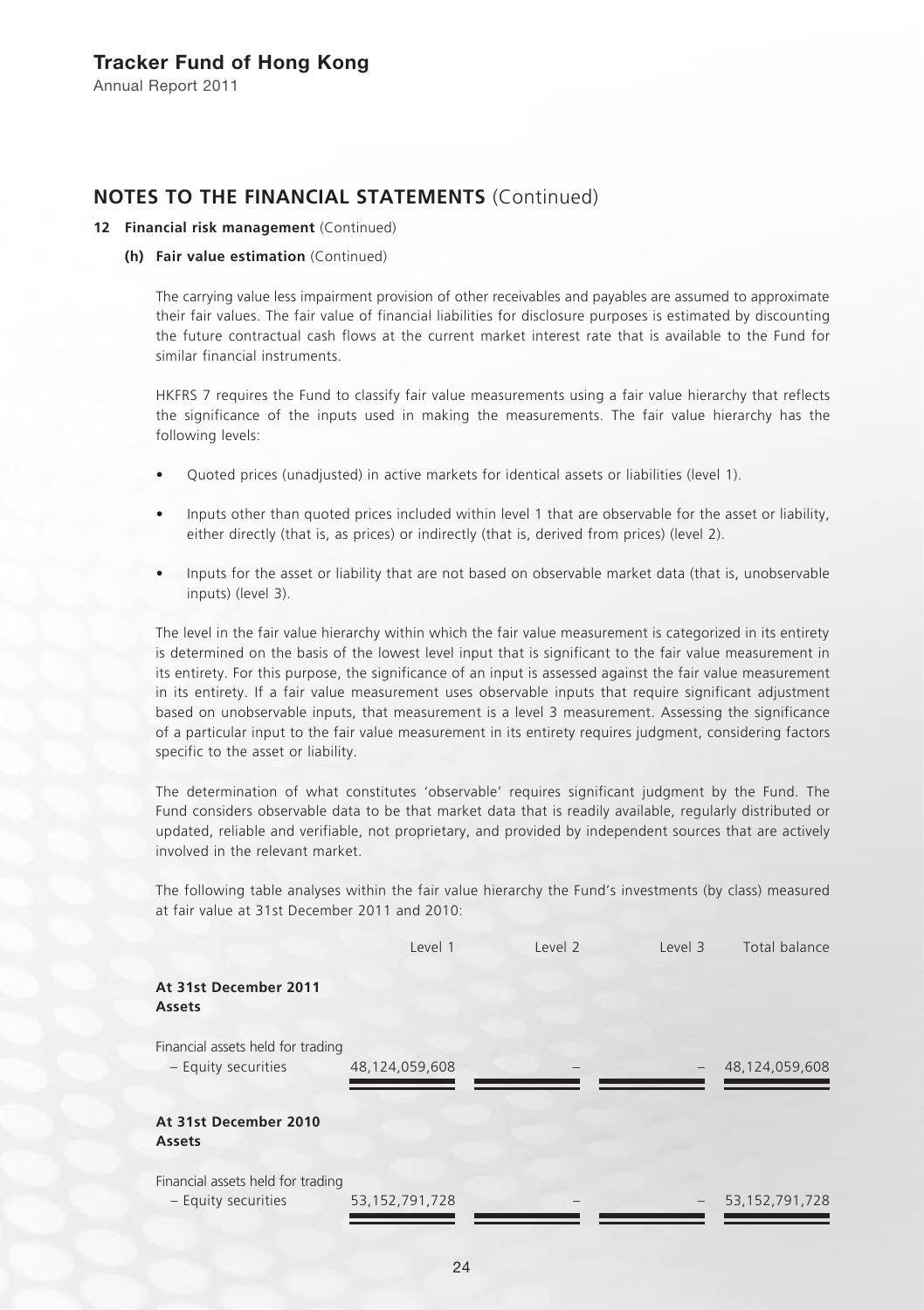## Tracker Fund of Hong Kong

Annual Report 2011

## **NOTES TO THE FINANCIAL STATEMENTS** (Continued)

#### **12 Financial risk management** (Continued)

#### **(h) Fair value estimation** (Continued)

The carrying value less impairment provision of other receivables and payables are assumed to approximate their fair values. The fair value of financial liabilities for disclosure purposes is estimated by discounting the future contractual cash flows at the current market interest rate that is available to the Fund for similar financial instruments.

HKFRS 7 requires the Fund to classify fair value measurements using a fair value hierarchy that reflects the significance of the inputs used in making the measurements. The fair value hierarchy has the following levels:

- Quoted prices (unadjusted) in active markets for identical assets or liabilities (level 1).
- Inputs other than quoted prices included within level 1 that are observable for the asset or liability, either directly (that is, as prices) or indirectly (that is, derived from prices) (level 2).
- Inputs for the asset or liability that are not based on observable market data (that is, unobservable inputs) (level 3).

The level in the fair value hierarchy within which the fair value measurement is categorized in its entirety is determined on the basis of the lowest level input that is significant to the fair value measurement in its entirety. For this purpose, the significance of an input is assessed against the fair value measurement in its entirety. If a fair value measurement uses observable inputs that require significant adjustment based on unobservable inputs, that measurement is a level 3 measurement. Assessing the significance of a particular input to the fair value measurement in its entirety requires judgment, considering factors specific to the asset or liability.

The determination of what constitutes 'observable' requires significant judgment by the Fund. The Fund considers observable data to be that market data that is readily available, regularly distributed or updated, reliable and verifiable, not proprietary, and provided by independent sources that are actively involved in the relevant market.

The following table analyses within the fair value hierarchy the Fund's investments (by class) measured at fair value at 31st December 2011 and 2010:

|                                                          | Level 1           | Level <sub>2</sub> | Level 3 | Total balance     |
|----------------------------------------------------------|-------------------|--------------------|---------|-------------------|
| At 31st December 2011<br>Assets                          |                   |                    |         |                   |
| Financial assets held for trading<br>- Equity securities | 48,124,059,608    |                    |         | 48,124,059,608    |
| At 31st December 2010<br><b>Assets</b>                   |                   |                    |         |                   |
| Financial assets held for trading<br>- Equity securities | 53, 152, 791, 728 |                    |         | 53, 152, 791, 728 |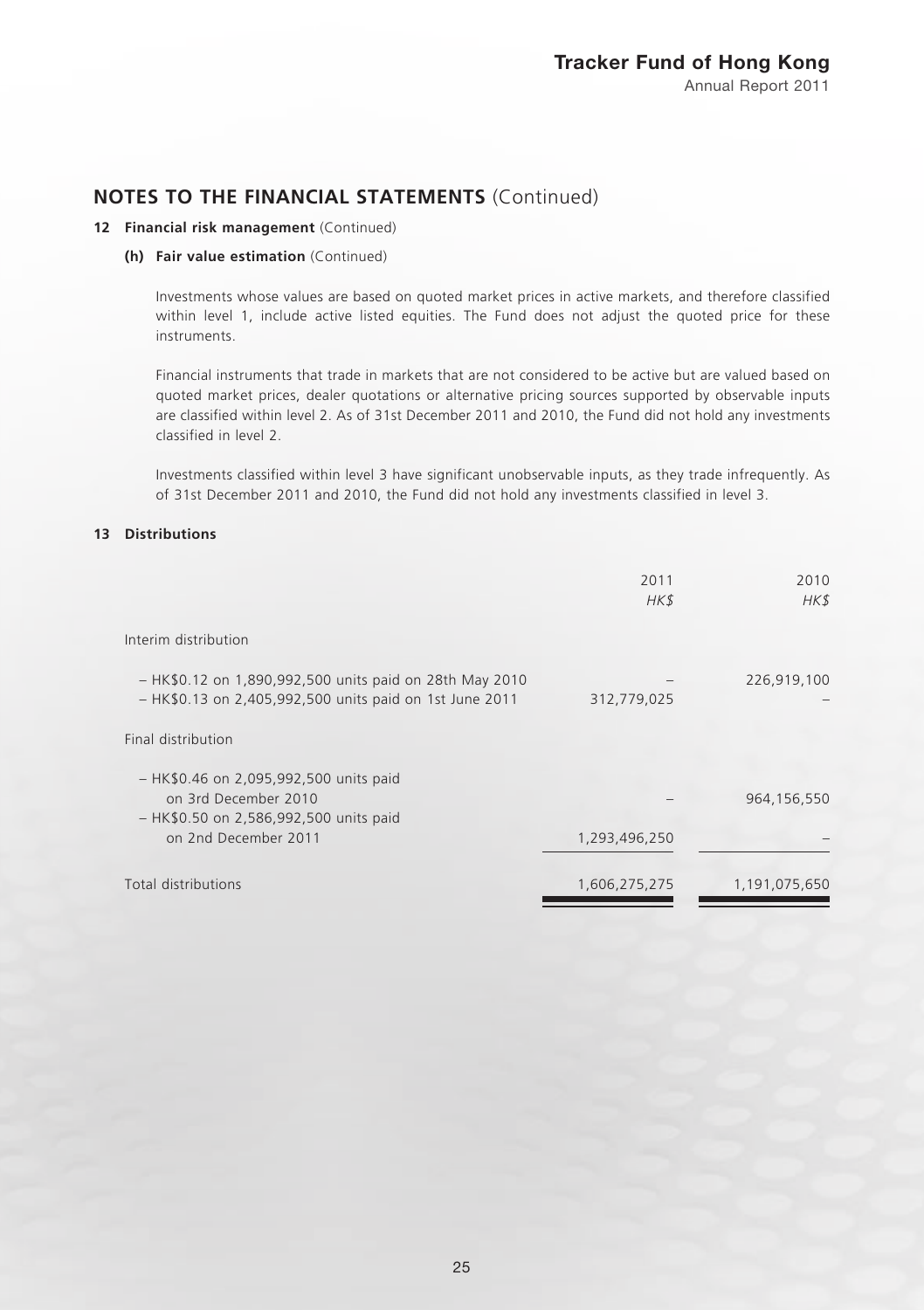## **12 Financial risk management** (Continued)

#### **(h) Fair value estimation** (Continued)

Investments whose values are based on quoted market prices in active markets, and therefore classified within level 1, include active listed equities. The Fund does not adjust the quoted price for these instruments.

Financial instruments that trade in markets that are not considered to be active but are valued based on quoted market prices, dealer quotations or alternative pricing sources supported by observable inputs are classified within level 2. As of 31st December 2011 and 2010, the Fund did not hold any investments classified in level 2.

Investments classified within level 3 have significant unobservable inputs, as they trade infrequently. As of 31st December 2011 and 2010, the Fund did not hold any investments classified in level 3.

### **13 Distributions**

|                                                                                                                    | 2011<br>HK\$  | 2010<br>HK\$  |
|--------------------------------------------------------------------------------------------------------------------|---------------|---------------|
| Interim distribution                                                                                               |               |               |
| - HK\$0.12 on 1,890,992,500 units paid on 28th May 2010<br>- HK\$0.13 on 2,405,992,500 units paid on 1st June 2011 | 312,779,025   | 226,919,100   |
| Final distribution                                                                                                 |               |               |
| - HK\$0.46 on 2,095,992,500 units paid<br>on 3rd December 2010<br>- HK\$0.50 on 2,586,992,500 units paid           |               | 964,156,550   |
| on 2nd December 2011                                                                                               | 1,293,496,250 |               |
| Total distributions                                                                                                | 1,606,275,275 | 1,191,075,650 |
|                                                                                                                    |               |               |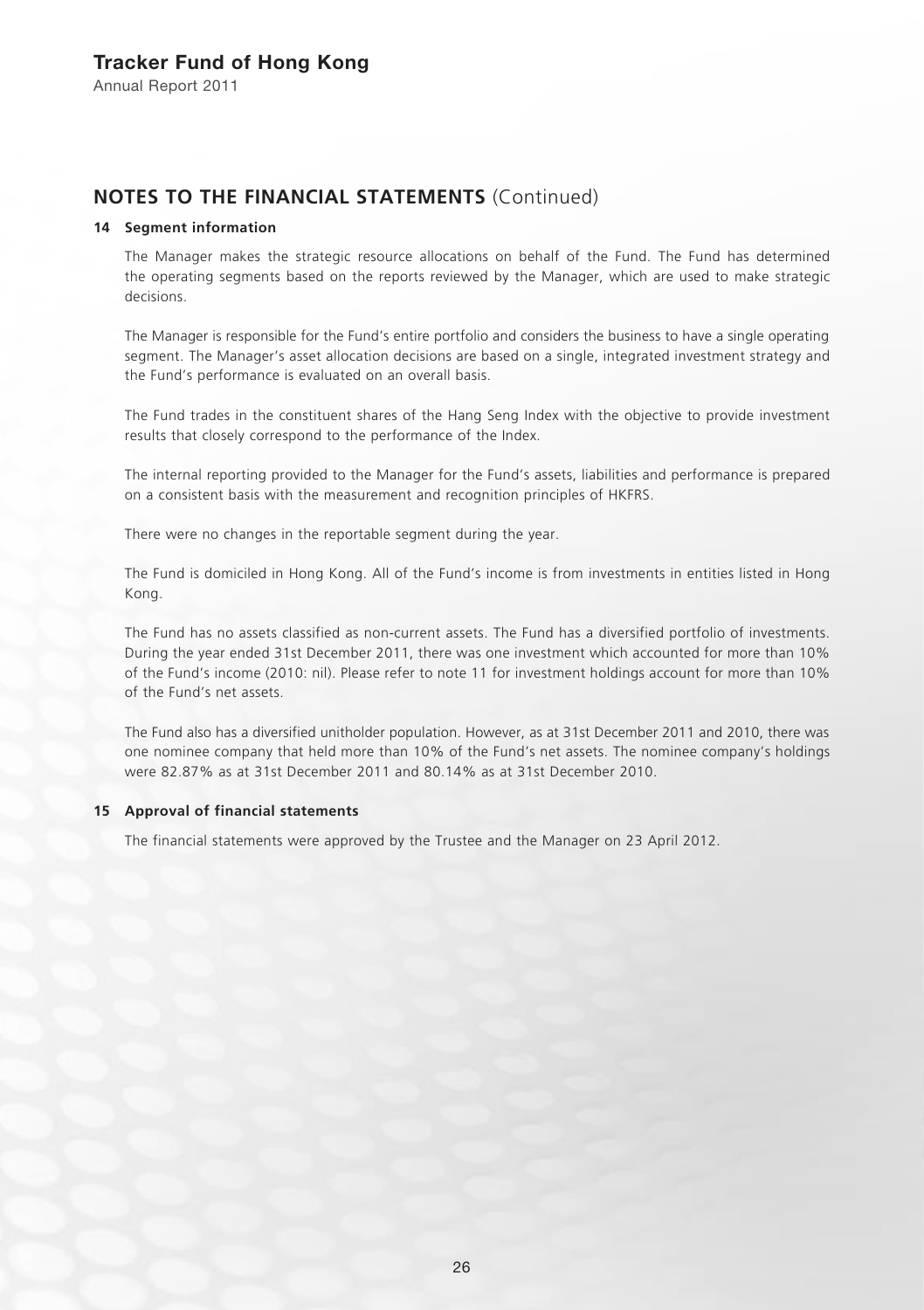## **NOTES TO THE FINANCIAL STATEMENTS** (Continued)

#### **14 Segment information**

The Manager makes the strategic resource allocations on behalf of the Fund. The Fund has determined the operating segments based on the reports reviewed by the Manager, which are used to make strategic decisions.

The Manager is responsible for the Fund's entire portfolio and considers the business to have a single operating segment. The Manager's asset allocation decisions are based on a single, integrated investment strategy and the Fund's performance is evaluated on an overall basis.

The Fund trades in the constituent shares of the Hang Seng Index with the objective to provide investment results that closely correspond to the performance of the Index.

The internal reporting provided to the Manager for the Fund's assets, liabilities and performance is prepared on a consistent basis with the measurement and recognition principles of HKFRS.

There were no changes in the reportable segment during the year.

The Fund is domiciled in Hong Kong. All of the Fund's income is from investments in entities listed in Hong Kong.

The Fund has no assets classified as non-current assets. The Fund has a diversified portfolio of investments. During the year ended 31st December 2011, there was one investment which accounted for more than 10% of the Fund's income (2010: nil). Please refer to note 11 for investment holdings account for more than 10% of the Fund's net assets.

The Fund also has a diversified unitholder population. However, as at 31st December 2011 and 2010, there was one nominee company that held more than 10% of the Fund's net assets. The nominee company's holdings were 82.87% as at 31st December 2011 and 80.14% as at 31st December 2010.

#### **15 Approval of financial statements**

The financial statements were approved by the Trustee and the Manager on 23 April 2012.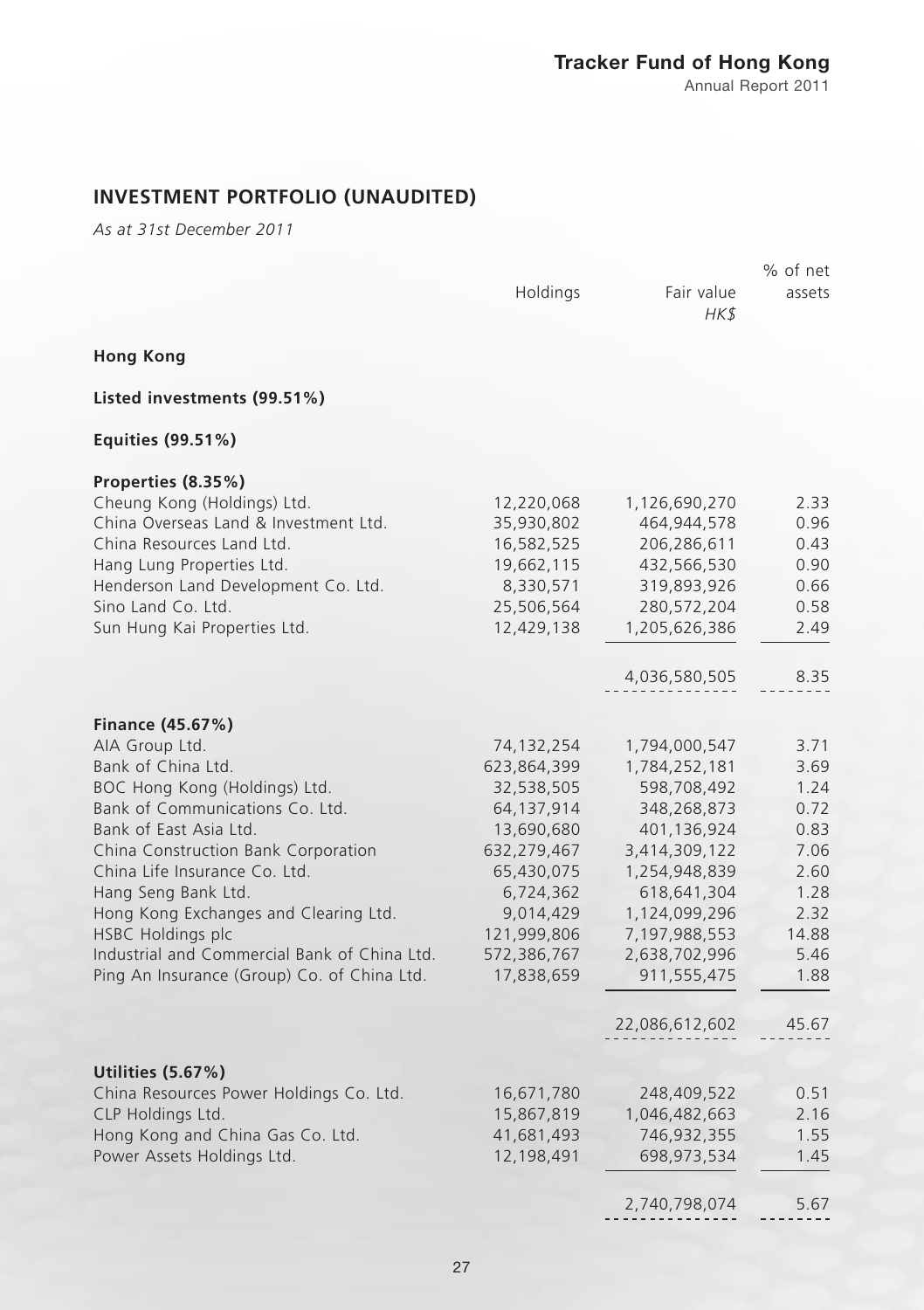## Tracker Fund of Hong Kong

Annual Report 2011

## **INVESTMENT PORTFOLIO (UNAUDITED)**

*As at 31st December 2011*

|                                                                                                                                                      |                                                      |                                                            | % of net                     |
|------------------------------------------------------------------------------------------------------------------------------------------------------|------------------------------------------------------|------------------------------------------------------------|------------------------------|
|                                                                                                                                                      | Holdings                                             | Fair value<br>HK\$                                         | assets                       |
| <b>Hong Kong</b>                                                                                                                                     |                                                      |                                                            |                              |
| Listed investments (99.51%)                                                                                                                          |                                                      |                                                            |                              |
| Equities (99.51%)                                                                                                                                    |                                                      |                                                            |                              |
| Properties (8.35%)<br>Cheung Kong (Holdings) Ltd.<br>China Overseas Land & Investment Ltd.<br>China Resources Land Ltd.<br>Hang Lung Properties Ltd. | 12,220,068<br>35,930,802<br>16,582,525<br>19,662,115 | 1,126,690,270<br>464,944,578<br>206,286,611<br>432,566,530 | 2.33<br>0.96<br>0.43<br>0.90 |
| Henderson Land Development Co. Ltd.<br>Sino Land Co. Ltd.<br>Sun Hung Kai Properties Ltd.                                                            | 8,330,571<br>25,506,564<br>12,429,138                | 319,893,926<br>280,572,204<br>1,205,626,386                | 0.66<br>0.58<br>2.49         |
|                                                                                                                                                      |                                                      | 4,036,580,505                                              | 8.35                         |
| Finance (45.67%)                                                                                                                                     |                                                      |                                                            |                              |
| AIA Group Ltd.                                                                                                                                       | 74,132,254                                           | 1,794,000,547                                              | 3.71                         |
| Bank of China Ltd.                                                                                                                                   | 623,864,399                                          | 1,784,252,181                                              | 3.69                         |
| BOC Hong Kong (Holdings) Ltd.                                                                                                                        | 32,538,505                                           | 598,708,492                                                | 1.24                         |
| Bank of Communications Co. Ltd.                                                                                                                      | 64,137,914                                           | 348,268,873                                                | 0.72                         |
| Bank of East Asia Ltd.                                                                                                                               | 13,690,680                                           | 401,136,924                                                | 0.83                         |
| China Construction Bank Corporation                                                                                                                  | 632,279,467                                          | 3,414,309,122                                              | 7.06                         |
| China Life Insurance Co. Ltd.                                                                                                                        | 65,430,075                                           | 1,254,948,839                                              | 2.60                         |
| Hang Seng Bank Ltd.                                                                                                                                  | 6,724,362                                            | 618,641,304                                                | 1.28                         |
| Hong Kong Exchanges and Clearing Ltd.                                                                                                                | 9,014,429                                            | 1,124,099,296                                              | 2.32                         |
| <b>HSBC Holdings plc</b><br>Industrial and Commercial Bank of China Ltd.                                                                             | 121,999,806                                          | 7,197,988,553                                              | 14.88<br>5.46                |
| Ping An Insurance (Group) Co. of China Ltd.                                                                                                          | 572,386,767<br>17,838,659                            | 2,638,702,996<br>911,555,475                               | 1.88                         |
|                                                                                                                                                      |                                                      | 22,086,612,602                                             | 45.67                        |
| Utilities (5.67%)                                                                                                                                    |                                                      |                                                            |                              |
| China Resources Power Holdings Co. Ltd.                                                                                                              | 16,671,780                                           | 248,409,522                                                | 0.51                         |
| CLP Holdings Ltd.                                                                                                                                    | 15,867,819                                           | 1,046,482,663                                              | 2.16                         |
| Hong Kong and China Gas Co. Ltd.                                                                                                                     | 41,681,493                                           | 746,932,355                                                | 1.55                         |
| Power Assets Holdings Ltd.                                                                                                                           | 12,198,491                                           | 698,973,534                                                | 1.45                         |
|                                                                                                                                                      |                                                      | 2,740,798,074                                              | 5.67                         |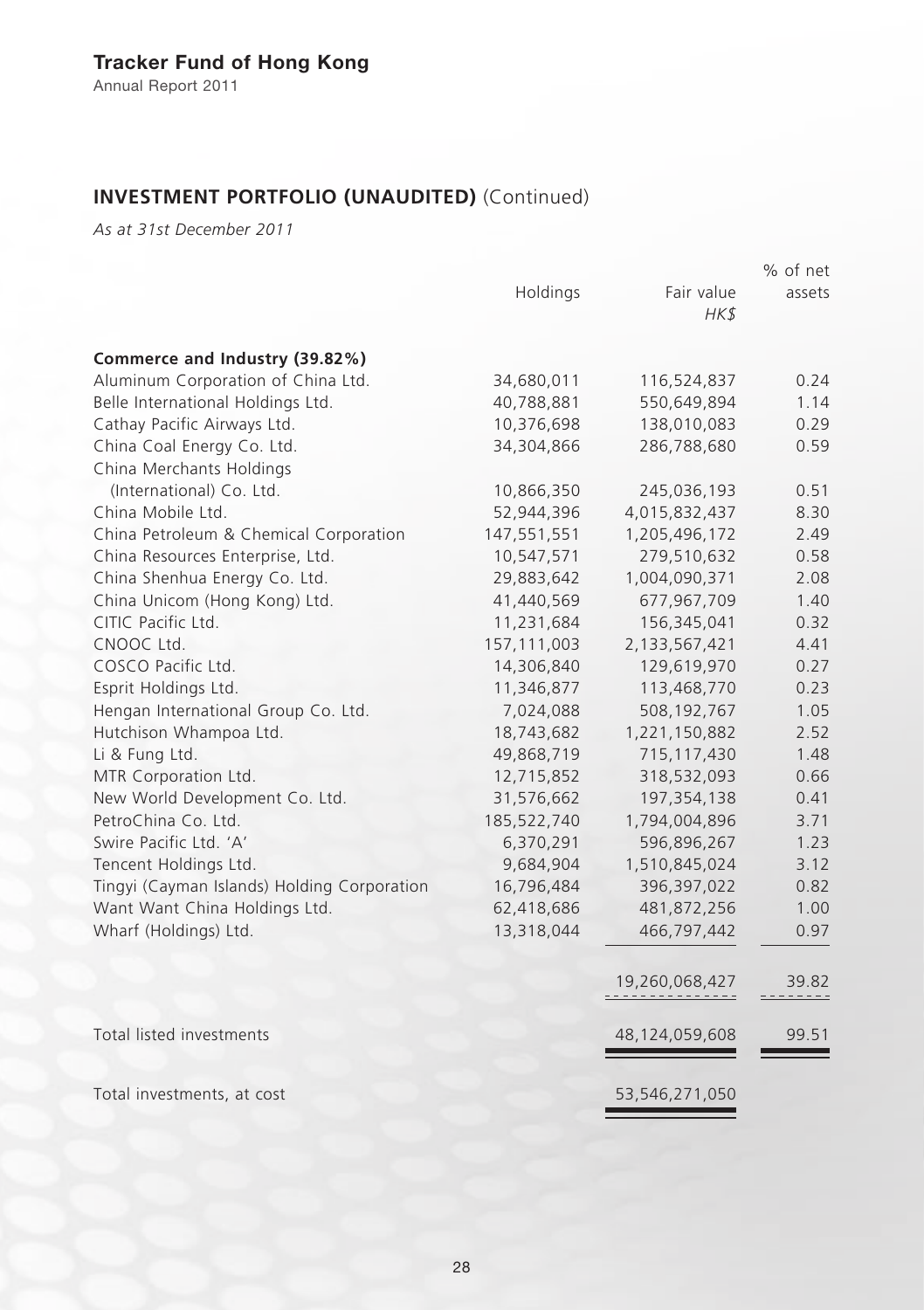## **INVESTMENT PORTFOLIO (UNAUDITED)** (Continued)

*As at 31st December 2011*

|                                             |               |                                 | % of net               |
|---------------------------------------------|---------------|---------------------------------|------------------------|
|                                             | Holdings      | Fair value                      | assets                 |
|                                             |               | HK\$                            |                        |
|                                             |               |                                 |                        |
| Commerce and Industry (39.82%)              |               |                                 |                        |
| Aluminum Corporation of China Ltd.          | 34,680,011    | 116,524,837                     | 0.24                   |
| Belle International Holdings Ltd.           | 40,788,881    | 550,649,894                     | 1.14                   |
| Cathay Pacific Airways Ltd.                 | 10,376,698    | 138,010,083                     | 0.29                   |
| China Coal Energy Co. Ltd.                  | 34,304,866    | 286,788,680                     | 0.59                   |
| China Merchants Holdings                    |               |                                 |                        |
| (International) Co. Ltd.                    | 10,866,350    | 245,036,193                     | 0.51                   |
| China Mobile Ltd.                           | 52,944,396    | 4,015,832,437                   | 8.30                   |
| China Petroleum & Chemical Corporation      | 147,551,551   | 1,205,496,172                   | 2.49                   |
| China Resources Enterprise, Ltd.            | 10,547,571    | 279,510,632                     | 0.58                   |
| China Shenhua Energy Co. Ltd.               | 29,883,642    | 1,004,090,371                   | 2.08                   |
| China Unicom (Hong Kong) Ltd.               | 41,440,569    | 677,967,709                     | 1.40                   |
| CITIC Pacific Ltd.                          | 11,231,684    | 156,345,041                     | 0.32                   |
| CNOOC Ltd.                                  | 157, 111, 003 | 2,133,567,421                   | 4.41                   |
| COSCO Pacific Ltd.                          | 14,306,840    | 129,619,970                     | 0.27                   |
| Esprit Holdings Ltd.                        | 11,346,877    | 113,468,770                     | 0.23                   |
| Hengan International Group Co. Ltd.         | 7,024,088     | 508,192,767                     | 1.05                   |
| Hutchison Whampoa Ltd.                      | 18,743,682    | 1,221,150,882                   | 2.52                   |
| Li & Fung Ltd.                              | 49,868,719    | 715, 117, 430                   | 1.48                   |
| MTR Corporation Ltd.                        | 12,715,852    | 318,532,093                     | 0.66                   |
| New World Development Co. Ltd.              | 31,576,662    | 197,354,138                     | 0.41                   |
| PetroChina Co. Ltd.                         | 185,522,740   | 1,794,004,896                   | 3.71                   |
| Swire Pacific Ltd. 'A'                      | 6,370,291     | 596,896,267                     | 1.23                   |
| Tencent Holdings Ltd.                       | 9,684,904     | 1,510,845,024                   | 3.12                   |
| Tingyi (Cayman Islands) Holding Corporation | 16,796,484    | 396, 397, 022                   | 0.82                   |
| Want Want China Holdings Ltd.               | 62,418,686    | 481,872,256                     | 1.00                   |
| Wharf (Holdings) Ltd.                       | 13,318,044    | 466,797,442                     | 0.97                   |
|                                             |               |                                 |                        |
|                                             |               | 19,260,068,427<br>------------- | 39.82<br>$- - - - - -$ |
| Total listed investments                    |               | 48,124,059,608                  | 99.51                  |
| Total investments, at cost                  |               | 53,546,271,050                  |                        |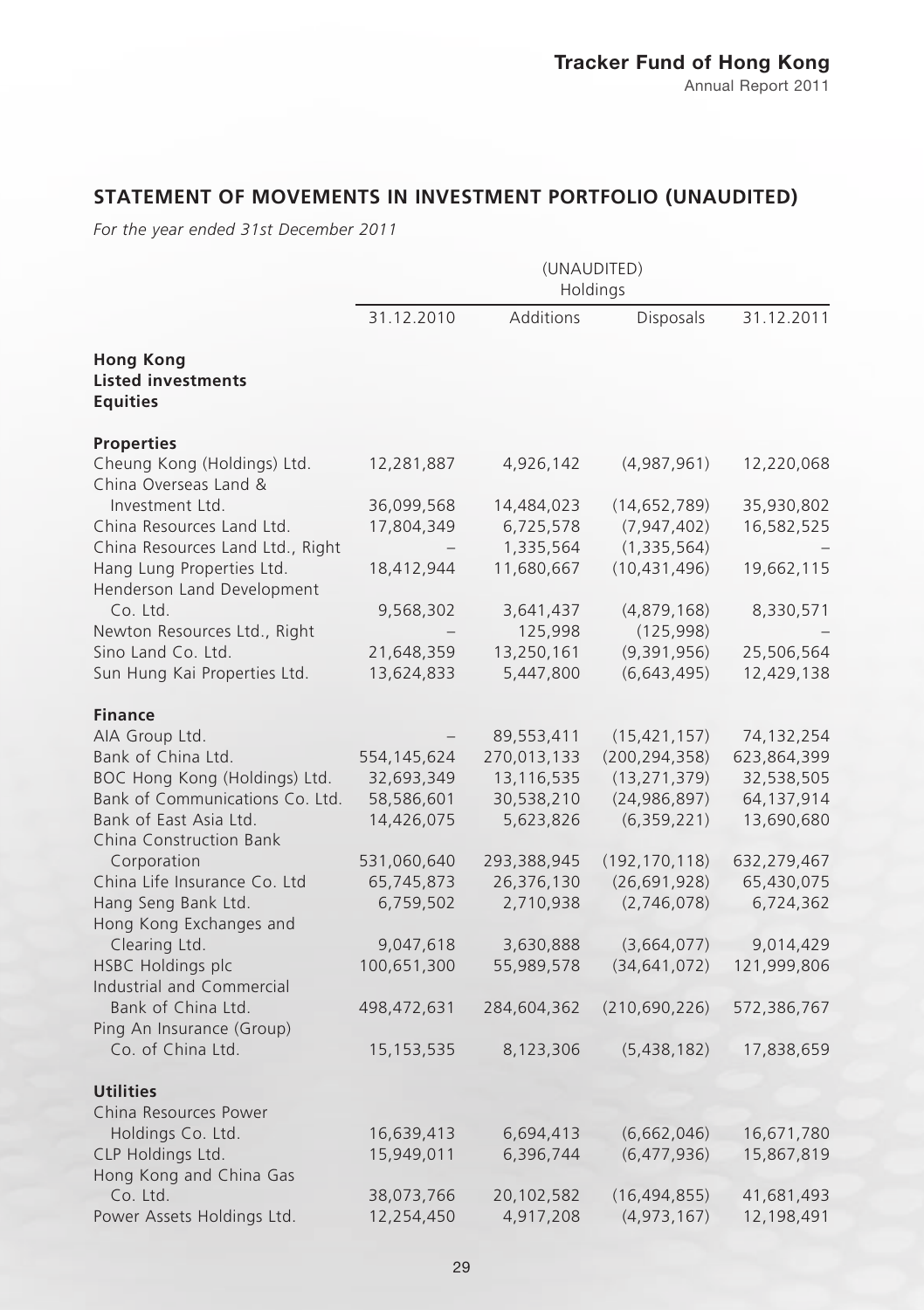## **STATEMENT OF MOVEMENTS IN INVESTMENT PORTFOLIO (UNAUDITED)**

*For the year ended 31st December 2011*

|                                                                  | (UNAUDITED)<br>Holdings |             |                 |             |
|------------------------------------------------------------------|-------------------------|-------------|-----------------|-------------|
|                                                                  | 31.12.2010              | Additions   | Disposals       | 31.12.2011  |
| <b>Hong Kong</b><br><b>Listed investments</b><br><b>Equities</b> |                         |             |                 |             |
| <b>Properties</b>                                                |                         |             |                 |             |
| Cheung Kong (Holdings) Ltd.<br>China Overseas Land &             | 12,281,887              | 4,926,142   | (4,987,961)     | 12,220,068  |
| Investment Ltd.                                                  | 36,099,568              | 14,484,023  | (14, 652, 789)  | 35,930,802  |
| China Resources Land Ltd.                                        | 17,804,349              | 6,725,578   | (7, 947, 402)   | 16,582,525  |
| China Resources Land Ltd., Right                                 |                         | 1,335,564   | (1,335,564)     |             |
| Hang Lung Properties Ltd.<br>Henderson Land Development          | 18,412,944              | 11,680,667  | (10, 431, 496)  | 19,662,115  |
| Co. Ltd.                                                         | 9,568,302               | 3,641,437   | (4,879,168)     | 8,330,571   |
| Newton Resources Ltd., Right                                     |                         | 125,998     | (125, 998)      |             |
| Sino Land Co. Ltd.                                               | 21,648,359              | 13,250,161  | (9,391,956)     | 25,506,564  |
| Sun Hung Kai Properties Ltd.                                     | 13,624,833              | 5,447,800   | (6,643,495)     | 12,429,138  |
| <b>Finance</b>                                                   |                         |             |                 |             |
| AIA Group Ltd.                                                   |                         | 89,553,411  | (15, 421, 157)  | 74,132,254  |
| Bank of China Ltd.                                               | 554,145,624             | 270,013,133 | (200, 294, 358) | 623,864,399 |
| BOC Hong Kong (Holdings) Ltd.                                    | 32,693,349              | 13,116,535  | (13, 271, 379)  | 32,538,505  |
| Bank of Communications Co. Ltd.                                  | 58,586,601              | 30,538,210  | (24, 986, 897)  | 64,137,914  |
| Bank of East Asia Ltd.                                           | 14,426,075              | 5,623,826   | (6,359,221)     | 13,690,680  |
| China Construction Bank                                          |                         |             |                 |             |
| Corporation                                                      | 531,060,640             | 293,388,945 | (192, 170, 118) | 632,279,467 |
| China Life Insurance Co. Ltd                                     | 65,745,873              | 26,376,130  | (26, 691, 928)  | 65,430,075  |
| Hang Seng Bank Ltd.                                              | 6,759,502               | 2,710,938   | (2,746,078)     | 6,724,362   |
| Hong Kong Exchanges and                                          |                         |             |                 |             |
| Clearing Ltd.                                                    | 9,047,618               | 3,630,888   | (3,664,077)     | 9,014,429   |
| HSBC Holdings plc<br>Industrial and Commercial                   | 100,651,300             | 55,989,578  | (34, 641, 072)  | 121,999,806 |
| Bank of China Ltd.                                               | 498,472,631             | 284,604,362 | (210, 690, 226) | 572,386,767 |
| Ping An Insurance (Group)                                        |                         |             |                 |             |
| Co. of China Ltd.                                                | 15,153,535              | 8,123,306   | (5,438,182)     | 17,838,659  |
| <b>Utilities</b>                                                 |                         |             |                 |             |
| China Resources Power                                            |                         |             |                 |             |
| Holdings Co. Ltd.                                                | 16,639,413              | 6,694,413   | (6,662,046)     | 16,671,780  |
| CLP Holdings Ltd.                                                | 15,949,011              | 6,396,744   | (6,477,936)     | 15,867,819  |
| Hong Kong and China Gas                                          |                         |             |                 |             |
| Co. Ltd.                                                         | 38,073,766              | 20,102,582  | (16, 494, 855)  | 41,681,493  |
| Power Assets Holdings Ltd.                                       | 12,254,450              | 4,917,208   | (4,973,167)     | 12,198,491  |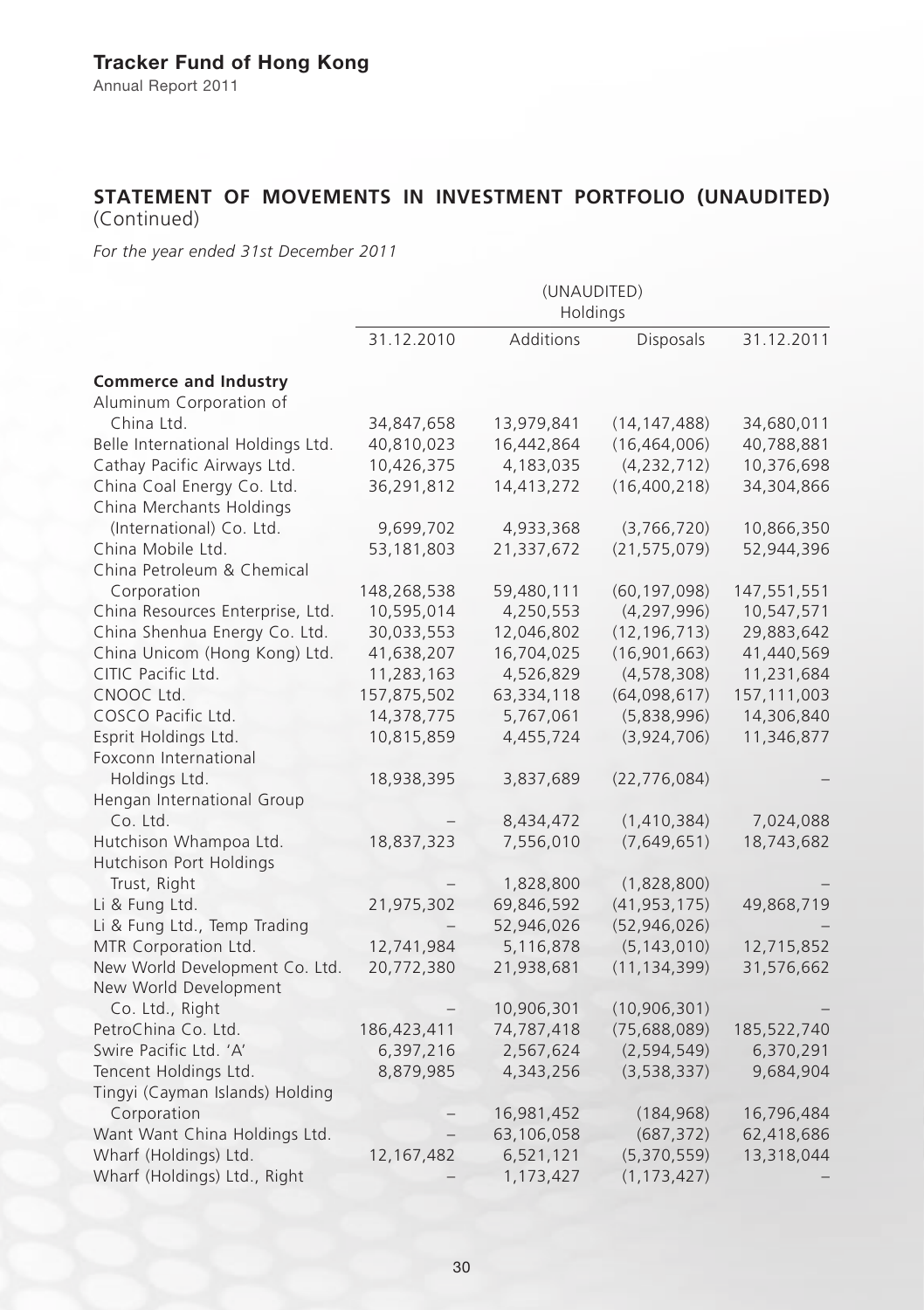## **STATEMENT OF MOVEMENTS IN INVESTMENT PORTFOLIO (UNAUDITED)**  (Continued)

*For the year ended 31st December 2011*

|                                   | (UNAUDITED)<br>Holdings |            |                |               |
|-----------------------------------|-------------------------|------------|----------------|---------------|
|                                   | 31.12.2010              | Additions  | Disposals      | 31.12.2011    |
| <b>Commerce and Industry</b>      |                         |            |                |               |
| Aluminum Corporation of           |                         |            |                |               |
| China Ltd.                        | 34,847,658              | 13,979,841 | (14, 147, 488) | 34,680,011    |
| Belle International Holdings Ltd. | 40,810,023              | 16,442,864 | (16, 464, 006) | 40,788,881    |
| Cathay Pacific Airways Ltd.       | 10,426,375              | 4,183,035  | (4, 232, 712)  | 10,376,698    |
| China Coal Energy Co. Ltd.        | 36,291,812              | 14,413,272 | (16, 400, 218) | 34,304,866    |
| China Merchants Holdings          |                         |            |                |               |
| (International) Co. Ltd.          | 9,699,702               | 4,933,368  | (3,766,720)    | 10,866,350    |
| China Mobile Ltd.                 | 53,181,803              | 21,337,672 | (21, 575, 079) | 52,944,396    |
| China Petroleum & Chemical        |                         |            |                |               |
| Corporation                       | 148,268,538             | 59,480,111 | (60, 197, 098) | 147,551,551   |
| China Resources Enterprise, Ltd.  | 10,595,014              | 4,250,553  | (4, 297, 996)  | 10,547,571    |
| China Shenhua Energy Co. Ltd.     | 30,033,553              | 12,046,802 | (12, 196, 713) | 29,883,642    |
| China Unicom (Hong Kong) Ltd.     | 41,638,207              | 16,704,025 | (16,901,663)   | 41,440,569    |
| CITIC Pacific Ltd.                | 11,283,163              | 4,526,829  | (4, 578, 308)  | 11,231,684    |
| CNOOC Ltd.                        | 157,875,502             | 63,334,118 | (64,098,617)   | 157, 111, 003 |
| COSCO Pacific Ltd.                | 14,378,775              | 5,767,061  | (5,838,996)    | 14,306,840    |
| Esprit Holdings Ltd.              | 10,815,859              | 4,455,724  | (3,924,706)    | 11,346,877    |
| Foxconn International             |                         |            |                |               |
| Holdings Ltd.                     | 18,938,395              | 3,837,689  | (22, 776, 084) |               |
| Hengan International Group        |                         |            |                |               |
| Co. Ltd.                          |                         | 8,434,472  | (1, 410, 384)  | 7,024,088     |
| Hutchison Whampoa Ltd.            | 18,837,323              | 7,556,010  | (7,649,651)    | 18,743,682    |
| Hutchison Port Holdings           |                         |            |                |               |
| Trust, Right                      |                         | 1,828,800  | (1,828,800)    |               |
| Li & Fung Ltd.                    | 21,975,302              | 69,846,592 | (41, 953, 175) | 49,868,719    |
| Li & Fung Ltd., Temp Trading      |                         | 52,946,026 | (52, 946, 026) |               |
| MTR Corporation Ltd.              | 12,741,984              | 5,116,878  | (5, 143, 010)  | 12,715,852    |
| New World Development Co. Ltd.    | 20,772,380              | 21,938,681 | (11, 134, 399) | 31,576,662    |
| New World Development             |                         |            |                |               |
| Co. Ltd., Right                   |                         | 10,906,301 | (10,906,301)   |               |
| PetroChina Co. Ltd.               | 186,423,411             | 74,787,418 | (75,688,089)   | 185,522,740   |
| Swire Pacific Ltd. 'A'            | 6,397,216               | 2,567,624  | (2, 594, 549)  | 6,370,291     |
| Tencent Holdings Ltd.             | 8,879,985               | 4,343,256  | (3,538,337)    | 9,684,904     |
| Tingyi (Cayman Islands) Holding   |                         |            |                |               |
| Corporation                       |                         | 16,981,452 | (184, 968)     | 16,796,484    |
| Want Want China Holdings Ltd.     |                         | 63,106,058 | (687, 372)     | 62,418,686    |
| Wharf (Holdings) Ltd.             | 12, 167, 482            | 6,521,121  | (5,370,559)    | 13,318,044    |
| Wharf (Holdings) Ltd., Right      |                         | 1,173,427  | (1, 173, 427)  |               |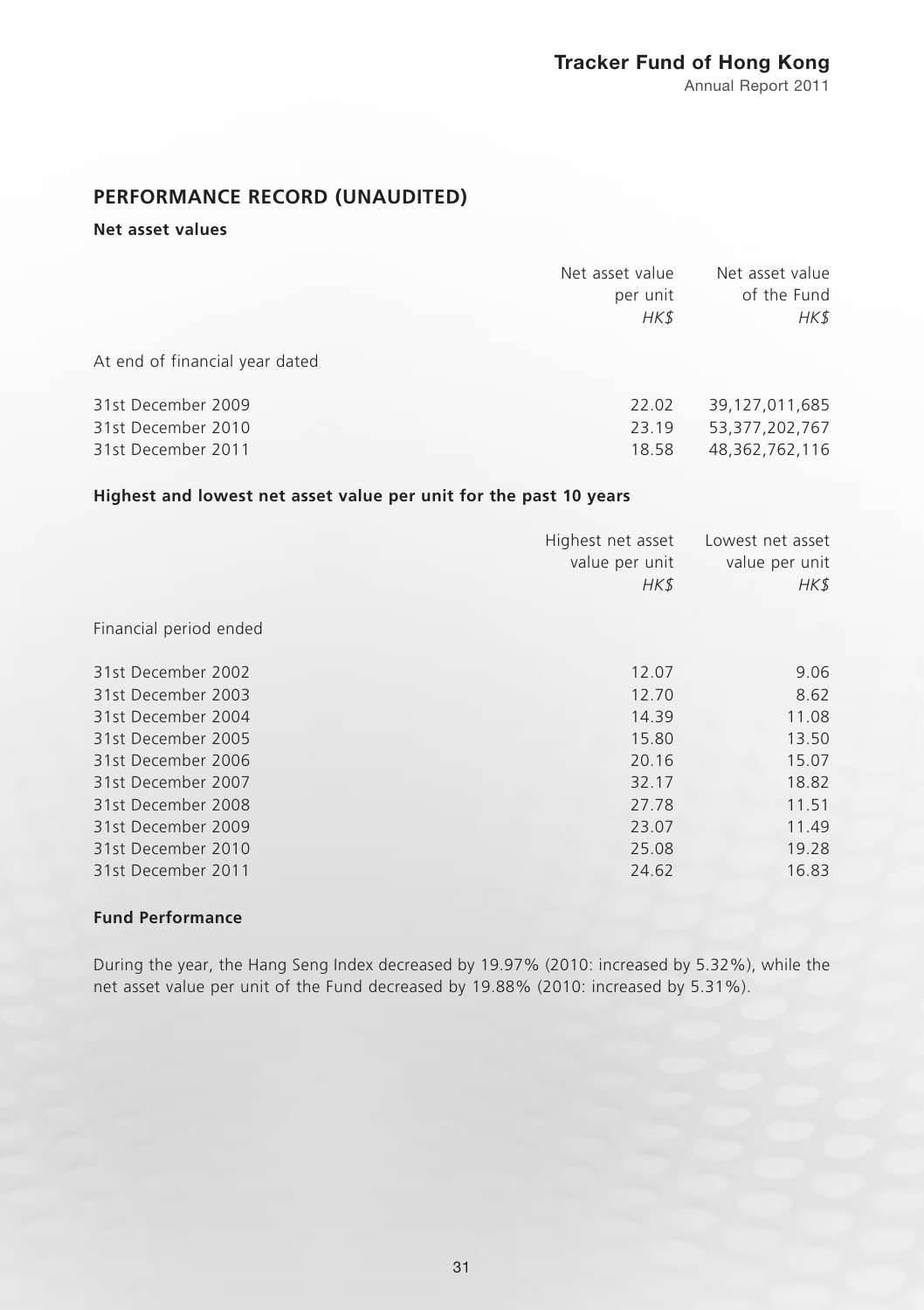## Tracker Fund of Hong Kong Annual Report 2011

## **PERFORMANCE RECORD (UNAUDITED)**

## **Net asset values**

|                                          | Net asset value<br>per unit<br>HK\$ | Net asset value<br>of the Fund<br>HK\$ |
|------------------------------------------|-------------------------------------|----------------------------------------|
| At end of financial year dated           |                                     |                                        |
| 31st December 2009                       | 22.02                               | 39,127,011,685                         |
| 31st December 2010<br>31st December 2011 | 23.19<br>18.58                      | 53,377,202,767<br>48,362,762,116       |
|                                          |                                     |                                        |

## **Highest and lowest net asset value per unit for the past 10 years**

|                        | Highest net asset<br>value per unit<br>HK\$ | Lowest net asset<br>value per unit<br>HK\$ |
|------------------------|---------------------------------------------|--------------------------------------------|
| Financial period ended |                                             |                                            |
| 31st December 2002     | 12.07                                       | 9.06                                       |
| 31st December 2003     | 12.70                                       | 8.62                                       |
| 31st December 2004     | 14.39                                       | 11.08                                      |
| 31st December 2005     | 15.80                                       | 13.50                                      |
| 31st December 2006     | 20.16                                       | 15.07                                      |
| 31st December 2007     | 32.17                                       | 18.82                                      |
| 31st December 2008     | 27.78                                       | 11.51                                      |
| 31st December 2009     | 23.07                                       | 11.49                                      |
| 31st December 2010     | 25.08                                       | 19.28                                      |
| 31st December 2011     | 24.62                                       | 16.83                                      |

## **Fund Performance**

During the year, the Hang Seng Index decreased by 19.97% (2010: increased by 5.32%), while the net asset value per unit of the Fund decreased by 19.88% (2010: increased by 5.31%).